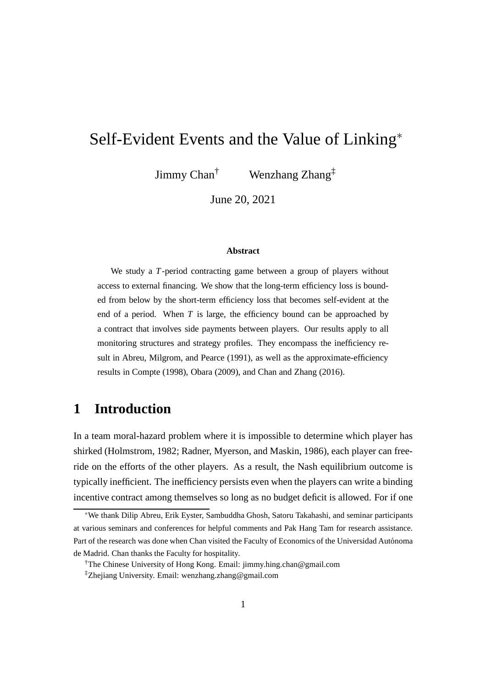# Self-Evident Events and the Value of Linking<sup>∗</sup>

Jimmy Chan<sup>†</sup> Wenzhang Zhang<sup>‡</sup>

June 20, 2021

#### **Abstract**

We study a *T*-period contracting game between a group of players without access to external financing. We show that the long-term efficiency loss is bounded from below by the short-term efficiency loss that becomes self-evident at the end of a period. When *T* is large, the efficiency bound can be approached by a contract that involves side payments between players. Our results apply to all monitoring structures and strategy profiles. They encompass the inefficiency result in Abreu, Milgrom, and Pearce (1991), as well as the approximate-efficiency results in Compte (1998), Obara (2009), and Chan and Zhang (2016).

### **1 Introduction**

In a team moral-hazard problem where it is impossible to determine which player has shirked (Holmstrom, 1982; Radner, Myerson, and Maskin, 1986), each player can freeride on the efforts of the other players. As a result, the Nash equilibrium outcome is typically inefficient. The inefficiency persists even when the players can write a binding incentive contract among themselves so long as no budget deficit is allowed. For if one

<sup>∗</sup>We thank Dilip Abreu, Erik Eyster, Sambuddha Ghosh, Satoru Takahashi, and seminar participants at various seminars and conferences for helpful comments and Pak Hang Tam for research assistance. Part of the research was done when Chan visited the Faculty of Economics of the Universidad Autónoma de Madrid. Chan thanks the Faculty for hospitality.

<sup>†</sup>The Chinese University of Hong Kong. Email: jimmy.hing.chan@gmail.com ‡Zhejiang University. Email: wenzhang.zhang@gmail.com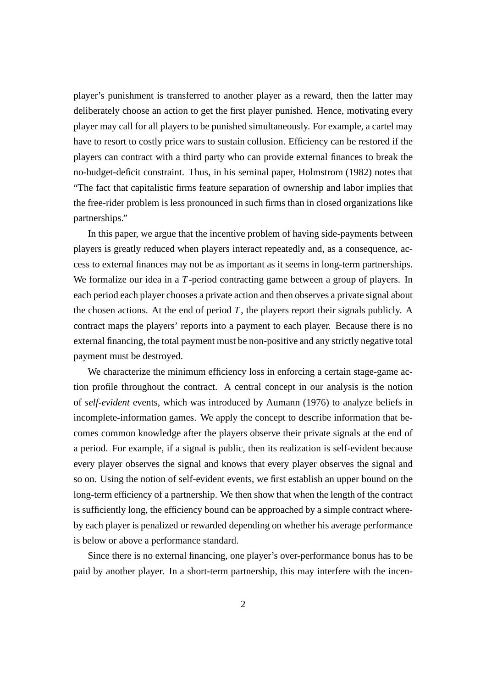player's punishment is transferred to another player as a reward, then the latter may deliberately choose an action to get the first player punished. Hence, motivating every player may call for all players to be punished simultaneously. For example, a cartel may have to resort to costly price wars to sustain collusion. Efficiency can be restored if the players can contract with a third party who can provide external finances to break the no-budget-deficit constraint. Thus, in his seminal paper, Holmstrom (1982) notes that "The fact that capitalistic firms feature separation of ownership and labor implies that the free-rider problem is less pronounced in such firms than in closed organizations like partnerships."

In this paper, we argue that the incentive problem of having side-payments between players is greatly reduced when players interact repeatedly and, as a consequence, access to external finances may not be as important as it seems in long-term partnerships. We formalize our idea in a *T*-period contracting game between a group of players. In each period each player chooses a private action and then observes a private signal about the chosen actions. At the end of period  $T$ , the players report their signals publicly. A contract maps the players' reports into a payment to each player. Because there is no external financing, the total payment must be non-positive and any strictly negative total payment must be destroyed.

We characterize the minimum efficiency loss in enforcing a certain stage-game action profile throughout the contract. A central concept in our analysis is the notion of *self-evident* events, which was introduced by Aumann (1976) to analyze beliefs in incomplete-information games. We apply the concept to describe information that becomes common knowledge after the players observe their private signals at the end of a period. For example, if a signal is public, then its realization is self-evident because every player observes the signal and knows that every player observes the signal and so on. Using the notion of self-evident events, we first establish an upper bound on the long-term efficiency of a partnership. We then show that when the length of the contract is sufficiently long, the efficiency bound can be approached by a simple contract whereby each player is penalized or rewarded depending on whether his average performance is below or above a performance standard.

Since there is no external financing, one player's over-performance bonus has to be paid by another player. In a short-term partnership, this may interfere with the incen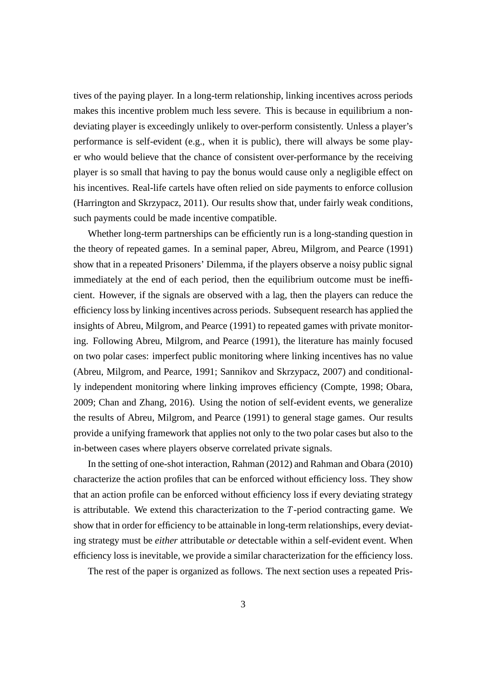tives of the paying player. In a long-term relationship, linking incentives across periods makes this incentive problem much less severe. This is because in equilibrium a nondeviating player is exceedingly unlikely to over-perform consistently. Unless a player's performance is self-evident (e.g., when it is public), there will always be some player who would believe that the chance of consistent over-performance by the receiving player is so small that having to pay the bonus would cause only a negligible effect on his incentives. Real-life cartels have often relied on side payments to enforce collusion (Harrington and Skrzypacz, 2011). Our results show that, under fairly weak conditions, such payments could be made incentive compatible.

Whether long-term partnerships can be efficiently run is a long-standing question in the theory of repeated games. In a seminal paper, Abreu, Milgrom, and Pearce (1991) show that in a repeated Prisoners' Dilemma, if the players observe a noisy public signal immediately at the end of each period, then the equilibrium outcome must be inefficient. However, if the signals are observed with a lag, then the players can reduce the efficiency loss by linking incentives across periods. Subsequent research has applied the insights of Abreu, Milgrom, and Pearce (1991) to repeated games with private monitoring. Following Abreu, Milgrom, and Pearce (1991), the literature has mainly focused on two polar cases: imperfect public monitoring where linking incentives has no value (Abreu, Milgrom, and Pearce, 1991; Sannikov and Skrzypacz, 2007) and conditionally independent monitoring where linking improves efficiency (Compte, 1998; Obara, 2009; Chan and Zhang, 2016). Using the notion of self-evident events, we generalize the results of Abreu, Milgrom, and Pearce (1991) to general stage games. Our results provide a unifying framework that applies not only to the two polar cases but also to the in-between cases where players observe correlated private signals.

In the setting of one-shot interaction, Rahman (2012) and Rahman and Obara (2010) characterize the action profiles that can be enforced without efficiency loss. They show that an action profile can be enforced without efficiency loss if every deviating strategy is attributable. We extend this characterization to the *T*-period contracting game. We show that in order for efficiency to be attainable in long-term relationships, every deviating strategy must be *either* attributable *or* detectable within a self-evident event. When efficiency loss is inevitable, we provide a similar characterization for the efficiency loss.

The rest of the paper is organized as follows. The next section uses a repeated Pris-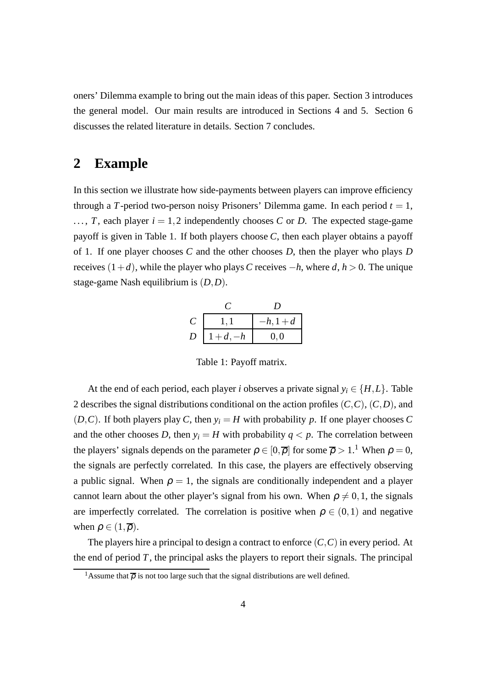oners' Dilemma example to bring out the main ideas of this paper. Section 3 introduces the general model. Our main results are introduced in Sections 4 and 5. Section 6 discusses the related literature in details. Section 7 concludes.

### **2 Example**

In this section we illustrate how side-payments between players can improve efficiency through a *T*-period two-person noisy Prisoners' Dilemma game. In each period  $t = 1$ ,  $\ldots$ , *T*, each player  $i = 1, 2$  independently chooses *C* or *D*. The expected stage-game payoff is given in Table 1. If both players choose *C*, then each player obtains a payoff of 1. If one player chooses *C* and the other chooses *D*, then the player who plays *D* receives  $(1+d)$ , while the player who plays *C* receives  $-h$ , where  $d, h > 0$ . The unique stage-game Nash equilibrium is (*D*,*D*).

|   |          | $-h, 1+d$ |  |
|---|----------|-----------|--|
| D | $1+d,-h$ | 0, 0      |  |

Table 1: Payoff matrix.

At the end of each period, each player *i* observes a private signal  $y_i \in \{H, L\}$ . Table 2 describes the signal distributions conditional on the action profiles (*C*,*C*), (*C*,*D*), and  $(D, C)$ . If both players play *C*, then  $y_i = H$  with probability *p*. If one player chooses *C* and the other chooses *D*, then  $y_i = H$  with probability  $q \lt p$ . The correlation between the players' signals depends on the parameter  $\rho \in [0, \overline{\rho}]$  for some  $\overline{\rho} > 1$ .<sup>1</sup> When  $\rho = 0$ , the signals are perfectly correlated. In this case, the players are effectively observing a public signal. When  $\rho = 1$ , the signals are conditionally independent and a player cannot learn about the other player's signal from his own. When  $\rho \neq 0,1$ , the signals are imperfectly correlated. The correlation is positive when  $\rho \in (0,1)$  and negative when  $\rho \in (1,\overline{\rho})$ .

The players hire a principal to design a contract to enforce (*C*,*C*) in every period. At the end of period  $T$ , the principal asks the players to report their signals. The principal

<sup>&</sup>lt;sup>1</sup>Assume that  $\overline{\rho}$  is not too large such that the signal distributions are well defined.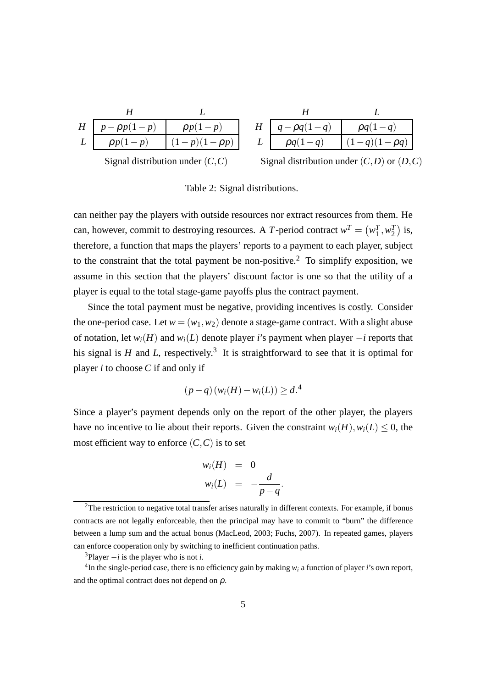| $H_{\parallel}$ | $p - \rho p(1-p)$ | $\rho p(1-p)$     |
|-----------------|-------------------|-------------------|
|                 | $\rho p(1-p)$     | $(1-p)(1-\rho p)$ |
|                 |                   |                   |

| Η | $q - \rho q(1 - q)$ | $pq(1-q)$         |  |
|---|---------------------|-------------------|--|
|   | $pq(1-q)$           | $(1-q)(1-\rho q)$ |  |

Signal distribution under (*C*,*C*)

Signal distribution under  $(C, D)$  or  $(D, C)$ 

Table 2: Signal distributions.

can neither pay the players with outside resources nor extract resources from them. He can, however, commit to destroying resources. A *T*-period contract  $w^T = (w_1^T, w_2^T)$  is, therefore, a function that maps the players' reports to a payment to each player, subject to the constraint that the total payment be non-positive.<sup>2</sup> To simplify exposition, we assume in this section that the players' discount factor is one so that the utility of a player is equal to the total stage-game payoffs plus the contract payment.

Since the total payment must be negative, providing incentives is costly. Consider the one-period case. Let  $w = (w_1, w_2)$  denote a stage-game contract. With a slight abuse of notation, let  $w_i(H)$  and  $w_i(L)$  denote player *i*'s payment when player  $-i$  reports that his signal is  $H$  and  $L$ , respectively.<sup>3</sup> It is straightforward to see that it is optimal for player *i* to choose *C* if and only if

$$
(p-q)(w_i(H) - w_i(L)) \ge d^{4}
$$

Since a player's payment depends only on the report of the other player, the players have no incentive to lie about their reports. Given the constraint  $w_i(H)$ ,  $w_i(L) \leq 0$ , the most efficient way to enforce  $(C, C)$  is to set

$$
w_i(H) = 0
$$
  

$$
w_i(L) = -\frac{d}{p-q}
$$

.

<sup>&</sup>lt;sup>2</sup>The restriction to negative total transfer arises naturally in different contexts. For example, if bonus contracts are not legally enforceable, then the principal may have to commit to "burn" the difference between a lump sum and the actual bonus (MacLeod, 2003; Fuchs, 2007). In repeated games, players can enforce cooperation only by switching to inefficient continuation paths.

 $3$ Player  $-i$  is the player who is not *i*.

<sup>&</sup>lt;sup>4</sup>In the single-period case, there is no efficiency gain by making  $w_i$  a function of player *i*'s own report, and the optimal contract does not depend on  $\rho$ .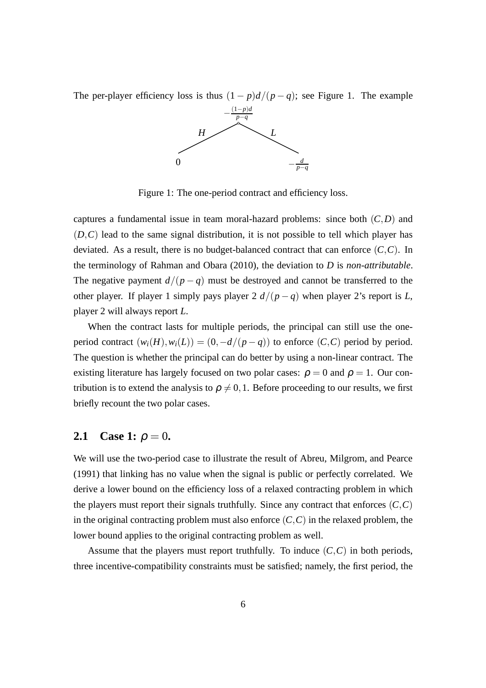The per-player efficiency loss is thus  $(1 - p)d/(p - q)$ ; see Figure 1. The example



Figure 1: The one-period contract and efficiency loss.

captures a fundamental issue in team moral-hazard problems: since both (*C*,*D*) and (*D*,*C*) lead to the same signal distribution, it is not possible to tell which player has deviated. As a result, there is no budget-balanced contract that can enforce (*C*,*C*). In the terminology of Rahman and Obara (2010), the deviation to *D* is *non-attributable*. The negative payment  $d/(p-q)$  must be destroyed and cannot be transferred to the other player. If player 1 simply pays player 2  $d/(p-q)$  when player 2's report is *L*, player 2 will always report *L*.

When the contract lasts for multiple periods, the principal can still use the oneperiod contract  $(w_i(H), w_i(L)) = (0, -d/(p-q))$  to enforce  $(C, C)$  period by period. The question is whether the principal can do better by using a non-linear contract. The existing literature has largely focused on two polar cases:  $\rho = 0$  and  $\rho = 1$ . Our contribution is to extend the analysis to  $\rho \neq 0,1$ . Before proceeding to our results, we first briefly recount the two polar cases.

#### **2.1** Case 1:  $\rho = 0$ .

We will use the two-period case to illustrate the result of Abreu, Milgrom, and Pearce (1991) that linking has no value when the signal is public or perfectly correlated. We derive a lower bound on the efficiency loss of a relaxed contracting problem in which the players must report their signals truthfully. Since any contract that enforces  $(C, C)$ in the original contracting problem must also enforce  $(C, C)$  in the relaxed problem, the lower bound applies to the original contracting problem as well.

Assume that the players must report truthfully. To induce  $(C, C)$  in both periods, three incentive-compatibility constraints must be satisfied; namely, the first period, the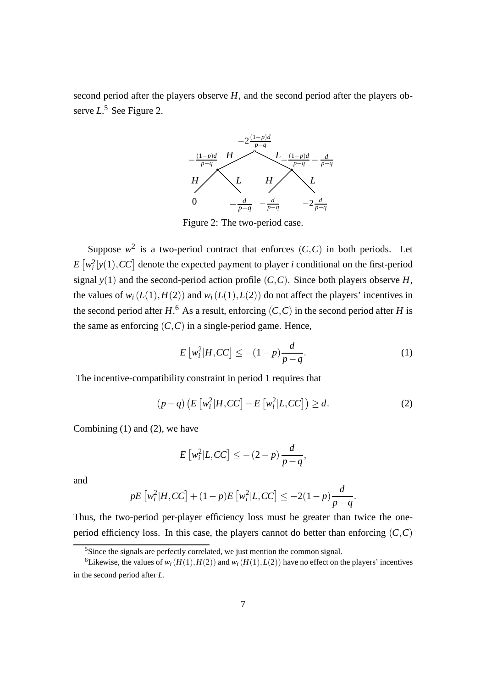second period after the players observe *H*, and the second period after the players observe *L*. <sup>5</sup> See Figure 2.



Figure 2: The two-period case.

Suppose  $w^2$  is a two-period contract that enforces  $(C, C)$  in both periods. Let  $E\left[w_i^2|y(1),CC\right]$  denote the expected payment to player *i* conditional on the first-period signal  $y(1)$  and the second-period action profile  $(C, C)$ . Since both players observe *H*, the values of  $w_i(L(1), H(2))$  and  $w_i(L(1), L(2))$  do not affect the players' incentives in the second period after  $H$ .<sup>6</sup> As a result, enforcing  $(C, C)$  in the second period after  $H$  is the same as enforcing  $(C, C)$  in a single-period game. Hence,

$$
E\left[w_i^2|H,CC\right] \le -(1-p)\frac{d}{p-q}.\tag{1}
$$

The incentive-compatibility constraint in period 1 requires that

$$
(p-q)\left(E\left[w_i^2|H,CC\right]-E\left[w_i^2|L,CC\right]\right)\geq d.\tag{2}
$$

Combining (1) and (2), we have

$$
E\left[w_i^2|L,CC\right] \leq -(2-p)\frac{d}{p-q},
$$

and

$$
pE\left[w_i^2|H,CC\right] + (1-p)E\left[w_i^2|L,CC\right] \le -2(1-p)\frac{d}{p-q}.
$$

Thus, the two-period per-player efficiency loss must be greater than twice the oneperiod efficiency loss. In this case, the players cannot do better than enforcing  $(C, C)$ 

<sup>&</sup>lt;sup>5</sup>Since the signals are perfectly correlated, we just mention the common signal.

<sup>&</sup>lt;sup>6</sup>Likewise, the values of  $w_i(H(1), H(2))$  and  $w_i(H(1), L(2))$  have no effect on the players' incentives in the second period after *L*.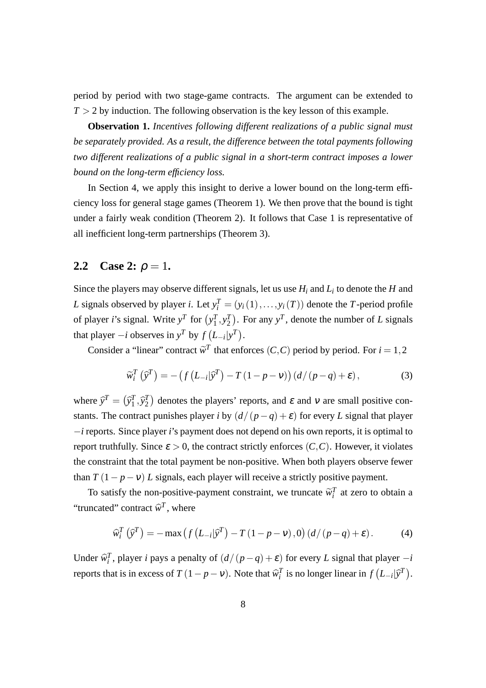period by period with two stage-game contracts. The argument can be extended to  $T > 2$  by induction. The following observation is the key lesson of this example.

**Observation 1.** *Incentives following different realizations of a public signal must be separately provided. As a result, the difference between the total payments following two different realizations of a public signal in a short-term contract imposes a lower bound on the long-term efficiency loss.*

In Section 4, we apply this insight to derive a lower bound on the long-term efficiency loss for general stage games (Theorem 1). We then prove that the bound is tight under a fairly weak condition (Theorem 2). It follows that Case 1 is representative of all inefficient long-term partnerships (Theorem 3).

#### **2.2** Case 2:  $\rho = 1$ .

Since the players may observe different signals, let us use *H<sup>i</sup>* and *L<sup>i</sup>* to denote the *H* and *L* signals observed by player *i*. Let  $y_i^T = (y_i(1), \ldots, y_i(T))$  denote the *T*-period profile of player *i*'s signal. Write  $y^T$  for  $(y_1^T, y_2^T)$ . For any  $y^T$ , denote the number of *L* signals that player  $-i$  observes in  $y^T$  by  $f(L_{-i}|y^T)$ .

Consider a "linear" contract  $\widetilde{w}^T$  that enforces  $(C, C)$  period by period. For  $i = 1, 2$ 

$$
\widetilde{w}_i^T(\widehat{y}^T) = -\left(f\left(L_{-i}|\widehat{y}^T\right) - T\left(1 - p - v\right)\right)\left(d/(p - q) + \varepsilon\right),\tag{3}
$$

where  $\hat{y}^T = (\hat{y}_1^T, \hat{y}_2^T)$  denotes the players' reports, and  $\varepsilon$  and  $v$  are small positive constants. The contract punishes player *i* by  $(d/(p-q)+\varepsilon)$  for every *L* signal that player −*i* reports. Since player *i*'s payment does not depend on his own reports, it is optimal to report truthfully. Since  $\varepsilon > 0$ , the contract strictly enforces  $(C, C)$ . However, it violates the constraint that the total payment be non-positive. When both players observe fewer than  $T(1 - p - v) L$  signals, each player will receive a strictly positive payment.

To satisfy the non-positive-payment constraint, we truncate  $\widetilde{w}_i^T$  at zero to obtain a "truncated" contract  $\hat{w}^T$ , where

$$
\widehat{w}_i^T(\widehat{y}^T) = -\max\left(f\left(L_{-i}|\widehat{y}^T\right) - T\left(1 - p - v\right), 0\right)\left(d/(p - q) + \varepsilon\right). \tag{4}
$$

Under  $\hat{w}_i^T$ , player *i* pays a penalty of  $(d/(p-q)+\varepsilon)$  for every *L* signal that player  $-i$ reports that is in excess of  $T(1 - p - v)$ . Note that  $\hat{w}_i^T$  is no longer linear in  $f(L_{-i}|\hat{y}^T)$ .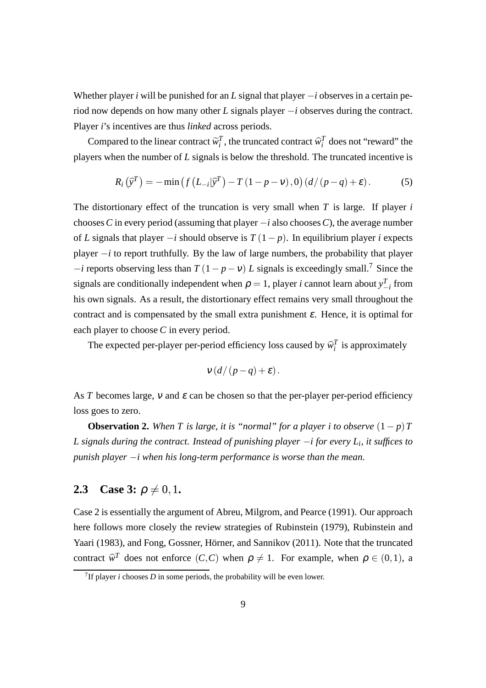Whether player *i* will be punished for an *L* signal that player −*i* observes in a certain period now depends on how many other *L* signals player −*i* observes during the contract. Player *i*'s incentives are thus *linked* across periods.

Compared to the linear contract  $\widetilde{w}_i^T$ , the truncated contract  $\widehat{w}_i^T$  does not "reward" the players when the number of *L* signals is below the threshold. The truncated incentive is

$$
R_i\left(\widehat{\mathrm{y}}^T\right) = -\min\left(f\left(L_{-i}|\widehat{\mathrm{y}}^T\right) - T\left(1 - p - v\right), 0\right)\left(d/(p - q) + \varepsilon\right). \tag{5}
$$

The distortionary effect of the truncation is very small when *T* is large. If player *i* chooses C in every period (assuming that player  $-i$  also chooses C), the average number of *L* signals that player −*i* should observe is *T* (1− *p*). In equilibrium player *i* expects player −*i* to report truthfully. By the law of large numbers, the probability that player  $-i$  reports observing less than  $T(1 - p - v) L$  signals is exceedingly small.<sup>7</sup> Since the signals are conditionally independent when  $\rho = 1$ , player *i* cannot learn about  $y_{-i}^T$  from his own signals. As a result, the distortionary effect remains very small throughout the contract and is compensated by the small extra punishment  $\varepsilon$ . Hence, it is optimal for each player to choose *C* in every period.

The expected per-player per-period efficiency loss caused by  $\hat{w}_i^T$  is approximately

$$
v\left(\frac{d}{p-q}\right)+\varepsilon
$$

As *T* becomes large, *v* and  $\varepsilon$  can be chosen so that the per-player per-period efficiency loss goes to zero.

**Observation 2.** *When T is large, it is "normal" for a player i to observe*  $(1-p)T$ *L signals during the contract. Instead of punishing player* −*i for every L<sup>i</sup> , it suffices to punish player* −*i when his long-term performance is worse than the mean.*

#### **2.3** Case 3:  $\rho \neq 0, 1$ .

Case 2 is essentially the argument of Abreu, Milgrom, and Pearce (1991). Our approach here follows more closely the review strategies of Rubinstein (1979), Rubinstein and Yaari (1983), and Fong, Gossner, Hörner, and Sannikov (2011). Note that the truncated contract  $\widehat{w}^T$  does not enforce  $(C, C)$  when  $\rho \neq 1$ . For example, when  $\rho \in (0, 1)$ , a

<sup>&</sup>lt;sup>7</sup>If player *i* chooses *D* in some periods, the probability will be even lower.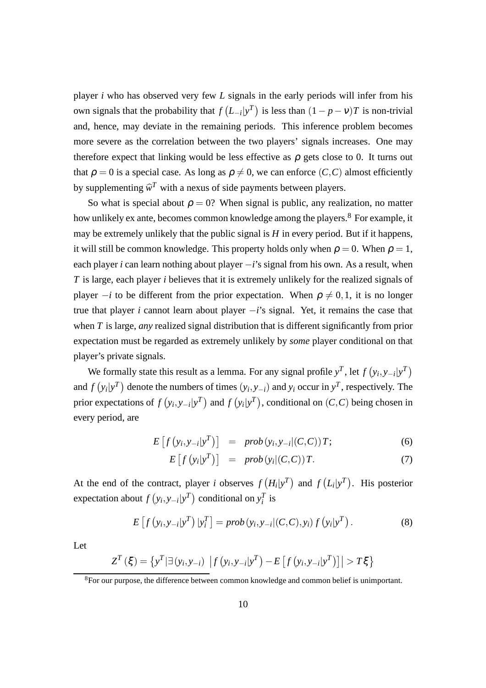player *i* who has observed very few *L* signals in the early periods will infer from his own signals that the probability that  $f(L_{-i}|y^T)$  is less than  $(1-p-v)T$  is non-trivial and, hence, may deviate in the remaining periods. This inference problem becomes more severe as the correlation between the two players' signals increases. One may therefore expect that linking would be less effective as  $\rho$  gets close to 0. It turns out that  $\rho = 0$  is a special case. As long as  $\rho \neq 0$ , we can enforce  $(C, C)$  almost efficiently by supplementing  $\widehat{w}^T$  with a nexus of side payments between players.

So what is special about  $\rho = 0$ ? When signal is public, any realization, no matter how unlikely ex ante, becomes common knowledge among the players.<sup>8</sup> For example, it may be extremely unlikely that the public signal is  $H$  in every period. But if it happens, it will still be common knowledge. This property holds only when  $\rho = 0$ . When  $\rho = 1$ , each player *i* can learn nothing about player −*i*'s signal from his own. As a result, when *T* is large, each player *i* believes that it is extremely unlikely for the realized signals of player  $-i$  to be different from the prior expectation. When  $\rho \neq 0,1$ , it is no longer true that player *i* cannot learn about player −*i*'s signal. Yet, it remains the case that when *T* is large, *any* realized signal distribution that is different significantly from prior expectation must be regarded as extremely unlikely by *some* player conditional on that player's private signals.

We formally state this result as a lemma. For any signal profile  $y^T$ , let  $f(y_i, y_{-i}|y^T)$ and  $f(y_i|y^T)$  denote the numbers of times  $(y_i, y_{-i})$  and  $y_i$  occur in  $y^T$ , respectively. The prior expectations of  $f(y_i, y_{-i}|y^T)$  and  $f(y_i|y^T)$ , conditional on  $(C, C)$  being chosen in every period, are

$$
E\left[f\left(y_i, y_{-i} | y^T\right)\right] = prob\left(y_i, y_{-i} | (C, C)\right)T; \tag{6}
$$

$$
E\left[f\left(y_i|y^T\right)\right] = prob\left(y_i|(C,C)\right)T. \tag{7}
$$

At the end of the contract, player *i* observes  $f(H_i|y^T)$  and  $f(L_i|y^T)$ . His posterior expectation about  $f(y_i, y_{-i}|y^T)$  conditional on  $y_i^T$  is

$$
E\left[f\left(y_i, y_{-i}|y^T\right)|y_i^T\right] = prob\left(y_i, y_{-i}|(C, C), y_i\right)f\left(y_i|y^T\right). \tag{8}
$$

Let

$$
Z^{T}(\xi) = \left\{ y^{T} | \exists (y_{i}, y_{-i}) \left| f (y_{i}, y_{-i} | y^{T}) - E \left[ f (y_{i}, y_{-i} | y^{T}) \right] \right| > T \xi \right\}
$$

<sup>&</sup>lt;sup>8</sup>For our purpose, the difference between common knowledge and common belief is unimportant.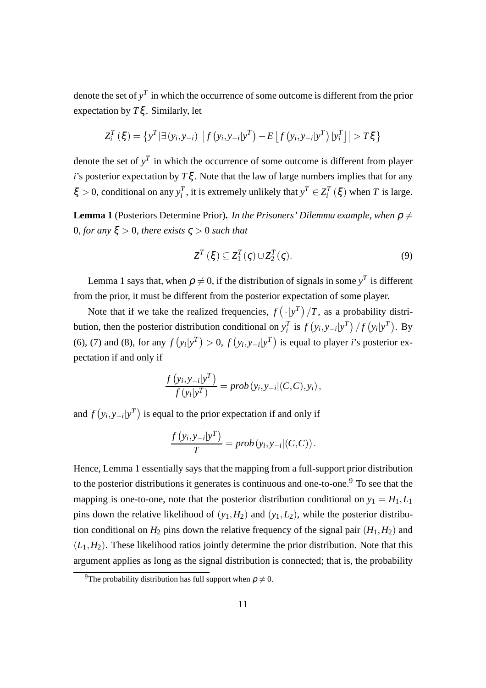denote the set of  $y<sup>T</sup>$  in which the occurrence of some outcome is different from the prior expectation by *T*ξ . Similarly, let

$$
Z_i^T(\xi) = \{ y^T | \exists (y_i, y_{-i}) | f (y_i, y_{-i} | y^T) - E [f (y_i, y_{-i} | y^T) | y_i^T] | > T\xi \}
$$

denote the set of  $y<sup>T</sup>$  in which the occurrence of some outcome is different from player *i*'s posterior expectation by  $T\xi$ . Note that the law of large numbers implies that for any  $\xi > 0$ , conditional on any  $y_i^T$ , it is extremely unlikely that  $y^T \in Z_i^T(\xi)$  when *T* is large.

**Lemma 1** (Posteriors Determine Prior). *In the Prisoners' Dilemma example, when*  $\rho \neq$ 0*, for any* ξ > 0*, there exists* ς > 0 *such that*

$$
Z^{T}(\xi) \subseteq Z_{1}^{T}(\zeta) \cup Z_{2}^{T}(\zeta).
$$
\n(9)

Lemma 1 says that, when  $\rho \neq 0$ , if the distribution of signals in some  $y^T$  is different from the prior, it must be different from the posterior expectation of some player.

Note that if we take the realized frequencies,  $f(\cdot|\mathbf{y}^T)/T$ , as a probability distribution, then the posterior distribution conditional on  $y_i^T$  is  $f(y_i, y_{-i}|y^T)/f(y_i|y^T)$ . By (6), (7) and (8), for any  $f(y_i|y^T) > 0$ ,  $f(y_i, y_{-i}|y^T)$  is equal to player *i*'s posterior expectation if and only if

$$
\frac{f(y_i, y_{-i}|y^T)}{f(y_i|y^T)} = prob(y_i, y_{-i}|(C, C), y_i),
$$

and  $f(y_i, y_{-i}|y^T)$  is equal to the prior expectation if and only if

$$
\frac{f(y_i, y_{-i}|y^T)}{T} = prob(y_i, y_{-i}|(C, C)).
$$

Hence, Lemma 1 essentially says that the mapping from a full-support prior distribution to the posterior distributions it generates is continuous and one-to-one.<sup>9</sup> To see that the mapping is one-to-one, note that the posterior distribution conditional on  $y_1 = H_1, L_1$ pins down the relative likelihood of  $(y_1, H_2)$  and  $(y_1, L_2)$ , while the posterior distribution conditional on  $H_2$  pins down the relative frequency of the signal pair  $(H_1, H_2)$  and  $(L_1, H_2)$ . These likelihood ratios jointly determine the prior distribution. Note that this argument applies as long as the signal distribution is connected; that is, the probability

<sup>&</sup>lt;sup>9</sup>The probability distribution has full support when  $\rho \neq 0$ .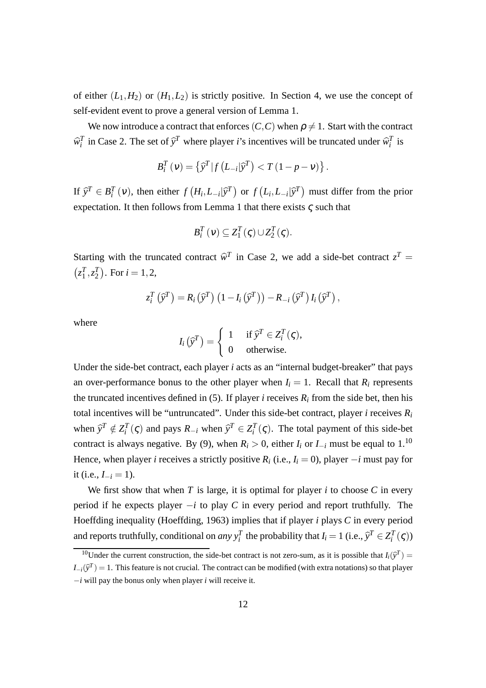of either  $(L_1, H_2)$  or  $(H_1, L_2)$  is strictly positive. In Section 4, we use the concept of self-evident event to prove a general version of Lemma 1.

We now introduce a contract that enforces  $(C, C)$  when  $\rho \neq 1$ . Start with the contract  $\hat{w}_i^T$  in Case 2. The set of  $\hat{y}^T$  where player *i*'s incentives will be truncated under  $\hat{w}_i^T$  is

$$
B_i^T(v) = \left\{ \widehat{y}^T | f(L_{-i}|\widehat{y}^T) < T(1 - p - v) \right\}.
$$

If  $\hat{y}^T \in B_i^T(v)$ , then either  $f(H_i, L_{-i}|\hat{y}^T)$  or  $f(L_i, L_{-i}|\hat{y}^T)$  must differ from the prior expectation. It then follows from Lemma 1 that there exists  $\varsigma$  such that

$$
B_i^T(v) \subseteq Z_1^T(\varsigma) \cup Z_2^T(\varsigma).
$$

Starting with the truncated contract  $\hat{w}^T$  in Case 2, we add a side-bet contract  $z^T =$  $(z_1^T, z_2^T)$ . For  $i = 1, 2$ ,

$$
z_i^T(\widehat{\mathrm{y}}^T)=R_i(\widehat{\mathrm{y}}^T)\left(1-I_i(\widehat{\mathrm{y}}^T)\right)-R_{-i}(\widehat{\mathrm{y}}^T)I_i(\widehat{\mathrm{y}}^T),
$$

where

$$
I_i(\hat{\mathbf{y}}^T) = \begin{cases} 1 & \text{if } \hat{\mathbf{y}}^T \in Z_i^T(\varsigma), \\ 0 & \text{otherwise.} \end{cases}
$$

Under the side-bet contract, each player *i* acts as an "internal budget-breaker" that pays an over-performance bonus to the other player when  $I_i = 1$ . Recall that  $R_i$  represents the truncated incentives defined in (5). If player *i* receives  $R_i$  from the side bet, then his total incentives will be "untruncated". Under this side-bet contract, player *i* receives  $R_i$ when  $\hat{y}^T \notin Z_i^T(\varsigma)$  and pays  $R_{-i}$  when  $\hat{y}^T \in Z_i^T(\varsigma)$ . The total payment of this side-bet contract is always negative. By (9), when  $R_i > 0$ , either  $I_i$  or  $I_{-i}$  must be equal to 1.<sup>10</sup> Hence, when player *i* receives a strictly positive  $R_i$  (i.e.,  $I_i = 0$ ), player  $-i$  must pay for it (i.e.,  $I_{-i} = 1$ ).

We first show that when  $T$  is large, it is optimal for player  $i$  to choose  $C$  in every period if he expects player −*i* to play *C* in every period and report truthfully. The Hoeffding inequality (Hoeffding, 1963) implies that if player *i* plays *C* in every period and reports truthfully, conditional on *any*  $y_i^T$  the probability that  $I_i = 1$  (i.e.,  $\hat{y}^T \in Z_i^T(\zeta)$ )

<sup>&</sup>lt;sup>10</sup>Under the current construction, the side-bet contract is not zero-sum, as it is possible that  $I_i(\hat{y}^T) = \hat{y}^T$  $I_{-i}(\hat{y}^T) = 1$ . This feature is not crucial. The contract can be modified (with extra notations) so that player −*i* will pay the bonus only when player *i* will receive it.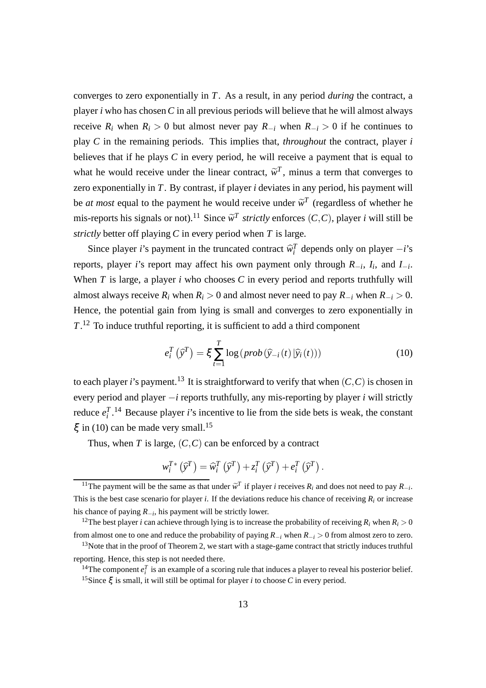converges to zero exponentially in *T*. As a result, in any period *during* the contract, a player *i* who has chosen*C* in all previous periods will believe that he will almost always receive  $R_i$  when  $R_i > 0$  but almost never pay  $R_{-i}$  when  $R_{-i} > 0$  if he continues to play *C* in the remaining periods. This implies that, *throughout* the contract, player *i* believes that if he plays *C* in every period, he will receive a payment that is equal to what he would receive under the linear contract,  $\tilde{w}^T$ , minus a term that converges to zero exponentially in *T*. By contrast, if player *i* deviates in any period, his payment will be *at most* equal to the payment he would receive under  $\tilde{w}^T$  (regardless of whether he mis-reports his signals or not).<sup>11</sup> Since  $\widetilde{w}^T$  strictly enforces  $(C, C)$ , player *i* will still be *strictly* better off playing *C* in every period when *T* is large.

Since player *i*'s payment in the truncated contract  $\hat{w}_i^T$  depends only on player  $-i$ 's reports, player *i*'s report may affect his own payment only through *R*−*<sup>i</sup>* , *I<sup>i</sup>* , and *I*−*<sup>i</sup>* . When *T* is large, a player *i* who chooses *C* in every period and reports truthfully will almost always receive  $R_i$  when  $R_i > 0$  and almost never need to pay  $R_{-i}$  when  $R_{-i} > 0$ . Hence, the potential gain from lying is small and converges to zero exponentially in *T*. <sup>12</sup> To induce truthful reporting, it is sufficient to add a third component

$$
e_i^T(\hat{\mathbf{y}}^T) = \xi \sum_{t=1}^T \log(prob(\hat{y}_{-i}(t)|\hat{y}_i(t)))
$$
\n(10)

to each player *i*'s payment.<sup>13</sup> It is straightforward to verify that when  $(C, C)$  is chosen in every period and player −*i* reports truthfully, any mis-reporting by player *i* will strictly reduce  $e_i^T$ .<sup>14</sup> Because player *i*'s incentive to lie from the side bets is weak, the constant  $\xi$  in (10) can be made very small.<sup>15</sup>

Thus, when  $T$  is large,  $(C, C)$  can be enforced by a contract

$$
w_i^{T*}(\widehat{\mathrm{y}}^T) = \widehat{w}_i^{T}(\widehat{\mathrm{y}}^T) + z_i^{T}(\widehat{\mathrm{y}}^T) + e_i^{T}(\widehat{\mathrm{y}}^T).
$$

<sup>12</sup>The best player *i* can achieve through lying is to increase the probability of receiving  $R_i$  when  $R_i > 0$ from almost one to one and reduce the probability of paying *R*−*<sup>i</sup>* when *R*−*<sup>i</sup>* > 0 from almost zero to zero.

<sup>&</sup>lt;sup>11</sup>The payment will be the same as that under  $\tilde{w}^T$  if player *i* receives  $R_i$  and does not need to pay  $R_{-i}$ . This is the best case scenario for player *i*. If the deviations reduce his chance of receiving  $R_i$  or increase his chance of paying *R*−*<sup>i</sup>* , his payment will be strictly lower.

 $13$ Note that in the proof of Theorem 2, we start with a stage-game contract that strictly induces truthful reporting. Hence, this step is not needed there.

<sup>&</sup>lt;sup>14</sup>The component  $e_i^T$  is an example of a scoring rule that induces a player to reveal his posterior belief. <sup>15</sup>Since  $\xi$  is small, it will still be optimal for player *i* to choose *C* in every period.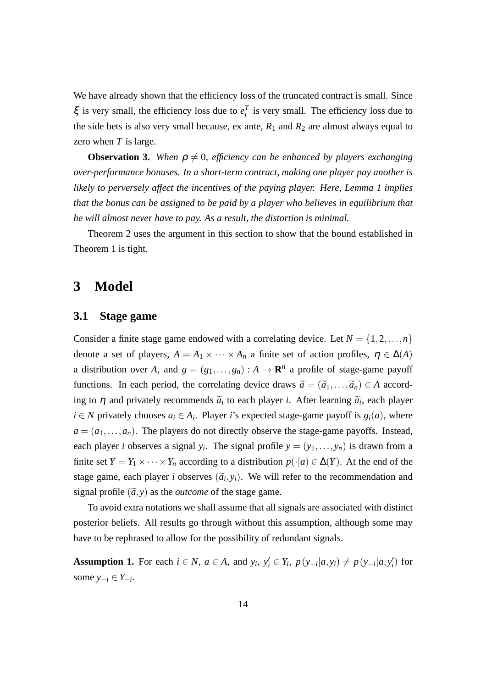We have already shown that the efficiency loss of the truncated contract is small. Since  $\xi$  is very small, the efficiency loss due to  $e_i^T$  is very small. The efficiency loss due to the side bets is also very small because, ex ante,  $R_1$  and  $R_2$  are almost always equal to zero when *T* is large.

**Observation 3.** *When*  $\rho \neq 0$ *, efficiency can be enhanced by players exchanging over-performance bonuses. In a short-term contract, making one player pay another is likely to perversely affect the incentives of the paying player. Here, Lemma 1 implies that the bonus can be assigned to be paid by a player who believes in equilibrium that he will almost never have to pay. As a result, the distortion is minimal.*

Theorem 2 uses the argument in this section to show that the bound established in Theorem 1 is tight.

#### **3 Model**

#### **3.1 Stage game**

Consider a finite stage game endowed with a correlating device. Let  $N = \{1, 2, ..., n\}$ denote a set of players,  $A = A_1 \times \cdots \times A_n$  a finite set of action profiles,  $\eta \in \Delta(A)$ a distribution over *A*, and  $g = (g_1, \ldots, g_n) : A \to \mathbf{R}^n$  a profile of stage-game payoff functions. In each period, the correlating device draws  $\tilde{a} = (\tilde{a}_1, \ldots, \tilde{a}_n) \in A$  according to  $\eta$  and privately recommends  $\tilde{a}_i$  to each player *i*. After learning  $\tilde{a}_i$ , each player  $i \in N$  privately chooses  $a_i \in A_i$ . Player *i*'s expected stage-game payoff is  $g_i(a)$ , where  $a = (a_1, \ldots, a_n)$ . The players do not directly observe the stage-game payoffs. Instead, each player *i* observes a signal  $y_i$ . The signal profile  $y = (y_1, \ldots, y_n)$  is drawn from a finite set  $Y = Y_1 \times \cdots \times Y_n$  according to a distribution  $p(\cdot|a) \in \Delta(Y)$ . At the end of the stage game, each player *i* observes  $(\tilde{a}_i, y_i)$ . We will refer to the recommendation and signal profile  $(\tilde{a}, y)$  as the *outcome* of the stage game.

To avoid extra notations we shall assume that all signals are associated with distinct posterior beliefs. All results go through without this assumption, although some may have to be rephrased to allow for the possibility of redundant signals.

**Assumption 1.** For each  $i \in N$ ,  $a \in A$ , and  $y_i, y'_i \in Y_i$ ,  $p(y_{-i}|a, y_i) \neq p(y_{-i}|a, y'_i)$  for some *y*−*<sup>i</sup>* ∈ *Y*−*<sup>i</sup>* .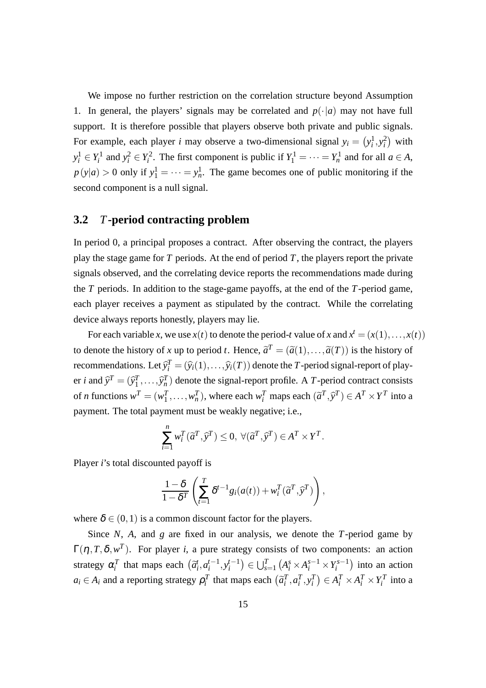We impose no further restriction on the correlation structure beyond Assumption 1. In general, the players' signals may be correlated and  $p(\cdot|a)$  may not have full support. It is therefore possible that players observe both private and public signals. For example, each player *i* may observe a two-dimensional signal  $y_i = (y_i^1, y_i^2)$  with  $y_i^1 \in Y_i^1$  and  $y_i^2 \in Y_i^2$ . The first component is public if  $Y_1^1 = \cdots = Y_n^1$  and for all  $a \in A$ ,  $p(y|a) > 0$  only if  $y_1^1 = \cdots = y_n^1$ . The game becomes one of public monitoring if the second component is a null signal.

#### **3.2** *T***-period contracting problem**

In period 0, a principal proposes a contract. After observing the contract, the players play the stage game for *T* periods. At the end of period *T*, the players report the private signals observed, and the correlating device reports the recommendations made during the *T* periods. In addition to the stage-game payoffs, at the end of the *T*-period game, each player receives a payment as stipulated by the contract. While the correlating device always reports honestly, players may lie.

For each variable *x*, we use  $x(t)$  to denote the period-*t* value of *x* and  $x^t = (x(1),...,x(t))$ to denote the history of *x* up to period *t*. Hence,  $\tilde{a}^T = (\tilde{a}(1), \ldots, \tilde{a}(T))$  is the history of recommendations. Let  $\widehat{y}_i^T = (\widehat{y}_i(1),...,\widehat{y}_i(T))$  denote the *T*-period signal-report of player *i* and  $\hat{y}^T = (\hat{y}_1^T, \dots, \hat{y}_n^T)$  denote the signal-report profile. A *T*-period contract consists of *n* functions  $w^T = (w_1^T, \dots, w_n^T)$ , where each  $w_i^T$  maps each  $(\tilde{a}^T, \tilde{y}^T) \in A^T \times Y^T$  into a payment. The total payment must be weakly negative; i.e.,

$$
\sum_{i=1}^{n} w_i^T(\tilde{a}^T, \tilde{y}^T) \le 0, \ \forall (\tilde{a}^T, \tilde{y}^T) \in A^T \times Y^T.
$$

Player *i*'s total discounted payoff is

$$
\frac{1-\delta}{1-\delta^T}\left(\sum_{t=1}^T \delta^{t-1} g_i(a(t)) + w_i^T(\widetilde{a}^T,\widehat{y}^T)\right),
$$

where  $\delta \in (0,1)$  is a common discount factor for the players.

Since *N*, *A*, and *g* are fixed in our analysis, we denote the *T*-period game by  $\Gamma(\eta, T, \delta, w^T)$ . For player *i*, a pure strategy consists of two components: an action strategy  $\alpha_i^T$  that maps each  $(\tilde{a}_i^t, a_i^{t-1})$  $i^{t-1}, y_i^{t-1}$  $\left( \bigcup_{s=1}^{T} \left( A_i^s \times A_i^{s-1} \times Y_i^{s-1} \right) \right)$  $\binom{s-1}{i}$  into an action  $a_i \in A_i$  and a reporting strategy  $\rho_i^T$  that maps each  $(\tilde{a}_i^T, a_i^T, y_i^T) \in A_i^T \times A_i^T \times Y_i^T$  into a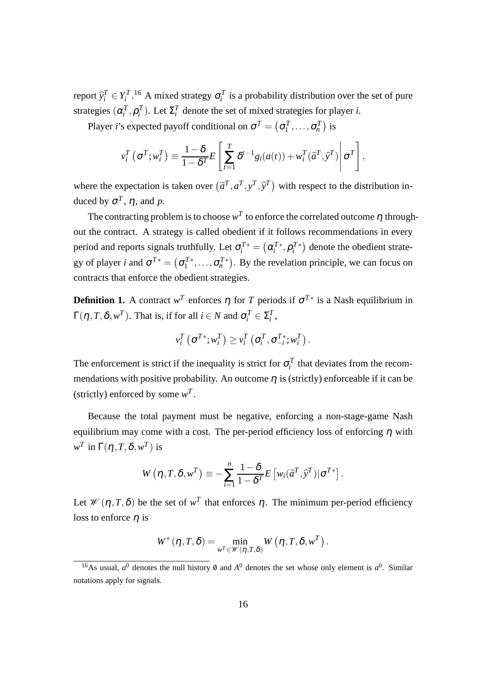report  $\hat{y}_i^T \in Y_i^T$ .<sup>16</sup> A mixed strategy  $\sigma_i^T$  is a probability distribution over the set of pure strategies  $(\alpha_i^T, \rho_i^T)$ . Let  $\Sigma_i^T$  denote the set of mixed strategies for player *i*.

Player *i*'s expected payoff conditional on  $\sigma^T = (\sigma_1^T, \dots, \sigma_n^T)$  is

$$
v_i^T(\sigma^T; w_i^T) \equiv \frac{1-\delta}{1-\delta^T} E\left[\sum_{t=1}^T \delta^{t-1} g_i(a(t)) + w_i^T(\widetilde{a}^T, \widehat{y}^T)\middle|\sigma^T\right],
$$

where the expectation is taken over  $(\tilde{a}^T, a^T, y^T, \tilde{y}^T)$  with respect to the distribution induced by  $σ<sup>T</sup>$ ,  $η$ , and  $p$ .

The contracting problem is to choose  $w^T$  to enforce the correlated outcome  $\eta$  throughout the contract. A strategy is called obedient if it follows recommendations in every period and reports signals truthfully. Let  $\sigma_i^{T*} = (\alpha_i^{T*}, \rho_i^{T*})$  denote the obedient strategy of player *i* and  $\sigma^{T*} = (\sigma_1^{T*}, \dots, \sigma_n^{T*})$ . By the revelation principle, we can focus on contracts that enforce the obedient strategies.

**Definition 1.** A contract  $w^T$  enforces  $\eta$  for  $T$  periods if  $\sigma^{T*}$  is a Nash equilibrium in  $\Gamma(\eta, T, \delta, w^T)$ . That is, if for all  $i \in N$  and  $\sigma_i^T \in \Sigma_i^T$ ,

$$
v_i^T\left(\sigma^{T*}; w_i^T\right) \geq v_i^T\left(\sigma_i^T, \sigma_{-i}^{T*}; w_i^T\right).
$$

The enforcement is strict if the inequality is strict for  $\sigma_i^T$  that deviates from the recommendations with positive probability. An outcome  $\eta$  is (strictly) enforceable if it can be (strictly) enforced by some  $w^T$ .

Because the total payment must be negative, enforcing a non-stage-game Nash equilibrium may come with a cost. The per-period efficiency loss of enforcing  $\eta$  with  $w^T$  in  $\Gamma(\eta,T,\delta,w^T)$  is

$$
W(\eta, T, \delta, w^T) \equiv -\sum_{i=1}^n \frac{1-\delta}{1-\delta^T} E\left[w_i(\widetilde{a}^T, \widehat{y}^T)|\sigma^{T*}\right].
$$

Let  $\mathcal{W}(\eta, T, \delta)$  be the set of  $w^T$  that enforces  $\eta$ . The minimum per-period efficiency loss to enforce  $\eta$  is

$$
W^*(\eta, T, \delta) = \min_{w^T \in \mathscr{W}(\eta, T, \delta)} W(\eta, T, \delta, w^T).
$$

<sup>&</sup>lt;sup>16</sup>As usual,  $a^0$  denotes the null history  $\theta$  and  $A^0$  denotes the set whose only element is  $a^0$ . Similar notations apply for signals.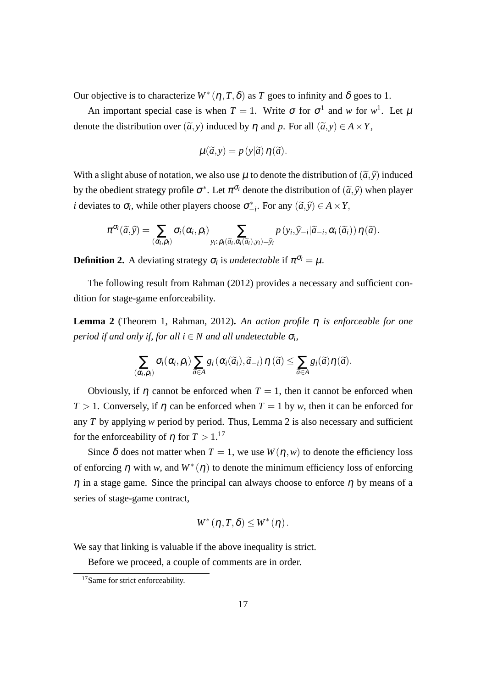Our objective is to characterize  $W^*(\eta, T, \delta)$  as *T* goes to infinity and  $\delta$  goes to 1.

An important special case is when  $T = 1$ . Write  $\sigma$  for  $\sigma^1$  and w for  $w^1$ . Let  $\mu$ denote the distribution over  $(\tilde{a}, v)$  induced by  $n$  and  $p$ . For all  $(\tilde{a}, v) \in A \times Y$ ,

$$
\mu(\widetilde{a},y) = p(y|\widetilde{a})\,\eta(\widetilde{a}).
$$

With a slight abuse of notation, we also use  $\mu$  to denote the distribution of  $(\tilde{a}, \tilde{y})$  induced by the obedient strategy profile  $\sigma^*$ . Let  $\pi^{\sigma_i}$  denote the distribution of  $(\tilde{a}, \tilde{y})$  when player *i* deviates to  $\sigma_i$ , while other players choose  $\sigma^*_{-i}$ . For any  $(\tilde{a}, \tilde{y}) \in A \times Y$ ,

$$
\pi^{\sigma_i}(\widetilde{a},\widehat{y}) = \sum_{(\alpha_i,\rho_i)} \sigma_i(\alpha_i,\rho_i) \sum_{y_i:\rho_i(\widetilde{a}_i,\alpha_i(\widetilde{a}_i),y_i)=\widehat{y}_i} p(y_i,\widehat{y}_{-i}|\widetilde{a}_{-i},\alpha_i(\widetilde{a}_i)) \eta(\widetilde{a}).
$$

**Definition 2.** A deviating strategy  $\sigma_i$  is *undetectable* if  $\pi^{\sigma_i} = \mu$ .

The following result from Rahman (2012) provides a necessary and sufficient condition for stage-game enforceability.

**Lemma 2** (Theorem 1, Rahman, 2012)**.** *An action profile* η *is enforceable for one*  $p$ eriod if and only if, for all  $i \in N$  and all undetectable  $\sigma_i$ ,

$$
\sum_{(\alpha_i,\rho_i)} \sigma_i(\alpha_i,\rho_i) \sum_{\widetilde{a}\in A} g_i(\alpha_i(\widetilde{a}_i),\widetilde{a}_{-i}) \eta(\widetilde{a}) \leq \sum_{\widetilde{a}\in A} g_i(\widetilde{a}) \eta(\widetilde{a}).
$$

Obviously, if  $\eta$  cannot be enforced when  $T = 1$ , then it cannot be enforced when *T* > 1. Conversely, if  $\eta$  can be enforced when *T* = 1 by *w*, then it can be enforced for any *T* by applying *w* period by period. Thus, Lemma 2 is also necessary and sufficient for the enforceability of *n* for  $T > 1$ .<sup>17</sup>

Since  $\delta$  does not matter when  $T = 1$ , we use  $W(n, w)$  to denote the efficiency loss of enforcing  $\eta$  with *w*, and  $W^*(\eta)$  to denote the minimum efficiency loss of enforcing  $\eta$  in a stage game. Since the principal can always choose to enforce  $\eta$  by means of a series of stage-game contract,

$$
W^{\ast}(\eta, T, \delta) \leq W^{\ast}(\eta).
$$

We say that linking is valuable if the above inequality is strict.

Before we proceed, a couple of comments are in order.

<sup>&</sup>lt;sup>17</sup>Same for strict enforceability.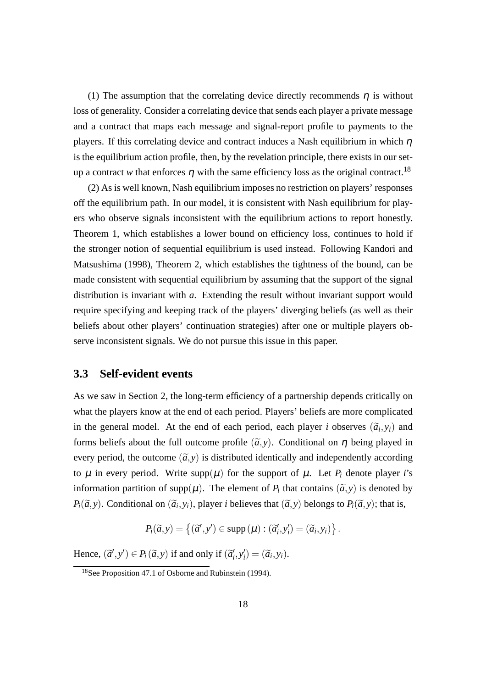(1) The assumption that the correlating device directly recommends  $\eta$  is without loss of generality. Consider a correlating device that sends each player a private message and a contract that maps each message and signal-report profile to payments to the players. If this correlating device and contract induces a Nash equilibrium in which  $\eta$ is the equilibrium action profile, then, by the revelation principle, there exists in our setup a contract *w* that enforces  $\eta$  with the same efficiency loss as the original contract.<sup>18</sup>

(2) As is well known, Nash equilibrium imposes no restriction on players' responses off the equilibrium path. In our model, it is consistent with Nash equilibrium for players who observe signals inconsistent with the equilibrium actions to report honestly. Theorem 1, which establishes a lower bound on efficiency loss, continues to hold if the stronger notion of sequential equilibrium is used instead. Following Kandori and Matsushima (1998), Theorem 2, which establishes the tightness of the bound, can be made consistent with sequential equilibrium by assuming that the support of the signal distribution is invariant with *a*. Extending the result without invariant support would require specifying and keeping track of the players' diverging beliefs (as well as their beliefs about other players' continuation strategies) after one or multiple players observe inconsistent signals. We do not pursue this issue in this paper.

#### **3.3 Self-evident events**

As we saw in Section 2, the long-term efficiency of a partnership depends critically on what the players know at the end of each period. Players' beliefs are more complicated in the general model. At the end of each period, each player *i* observes  $(\tilde{a}_i, y_i)$  and forms beliefs about the full outcome profile  $(\tilde{a}, y)$ . Conditional on  $\eta$  being played in every period, the outcome  $(\tilde{a}, y)$  is distributed identically and independently according to  $\mu$  in every period. Write supp( $\mu$ ) for the support of  $\mu$ . Let  $P_i$  denote player *i*'s information partition of supp $(\mu)$ . The element of  $P_i$  that contains  $(\tilde{a}, y)$  is denoted by *P*<sub>*i*</sub>( $\tilde{a}$ , *y*). Conditional on ( $\tilde{a}$ <sub>*i*</sub>, *y*<sub>*i*</sub>), player *i* believes that ( $\tilde{a}$ , *y*) belongs to *P*<sub>*i*</sub>( $\tilde{a}$ , *y*); that is,

$$
P_i(\widetilde{a},y) = \{(\widetilde{a}',y') \in \text{supp}(\mu) : (\widetilde{a}'_i,y'_i) = (\widetilde{a}_i,y_i)\}.
$$

Hence,  $(\tilde{a}', y') \in P_i(\tilde{a}, y)$  if and only if  $(\tilde{a}'_i, y'_i) = (\tilde{a}_i, y_i)$ .

<sup>&</sup>lt;sup>18</sup>See Proposition 47.1 of Osborne and Rubinstein (1994).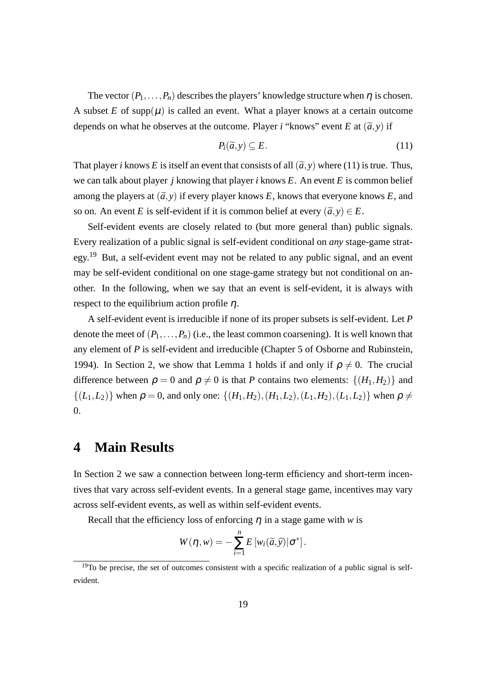The vector  $(P_1, \ldots, P_n)$  describes the players' knowledge structure when  $\eta$  is chosen. A subset *E* of supp $(\mu)$  is called an event. What a player knows at a certain outcome depends on what he observes at the outcome. Player *i* "knows" event *E* at  $(\tilde{a}, y)$  if

$$
P_i(\widetilde{a}, y) \subseteq E. \tag{11}
$$

That player *i* knows *E* is itself an event that consists of all  $(\tilde{a}, y)$  where (11) is true. Thus, we can talk about player *j* knowing that player *i* knows *E*. An event *E* is common belief among the players at  $(\tilde{a}, y)$  if every player knows E, knows that everyone knows E, and so on. An event *E* is self-evident if it is common belief at every  $(\tilde{a}, v) \in E$ .

Self-evident events are closely related to (but more general than) public signals. Every realization of a public signal is self-evident conditional on *any* stage-game strategy.<sup>19</sup> But, a self-evident event may not be related to any public signal, and an event may be self-evident conditional on one stage-game strategy but not conditional on another. In the following, when we say that an event is self-evident, it is always with respect to the equilibrium action profile  $\eta$ .

A self-evident event is irreducible if none of its proper subsets is self-evident. Let *P* denote the meet of  $(P_1, \ldots, P_n)$  (i.e., the least common coarsening). It is well known that any element of *P* is self-evident and irreducible (Chapter 5 of Osborne and Rubinstein, 1994). In Section 2, we show that Lemma 1 holds if and only if  $\rho \neq 0$ . The crucial difference between  $\rho = 0$  and  $\rho \neq 0$  is that *P* contains two elements:  $\{(H_1, H_2)\}\$  and  $\{(L_1, L_2)\}\$  when  $\rho = 0$ , and only one:  $\{(H_1, H_2), (H_1, L_2), (L_1, H_2), (L_1, L_2)\}\$  when  $\rho \neq 0$ 0.

#### **4 Main Results**

In Section 2 we saw a connection between long-term efficiency and short-term incentives that vary across self-evident events. In a general stage game, incentives may vary across self-evident events, as well as within self-evident events.

Recall that the efficiency loss of enforcing  $\eta$  in a stage game with *w* is

$$
W(\eta, w) = -\sum_{i=1}^n E\left[w_i(\widetilde{a}, \widehat{y}) | \sigma^*\right].
$$

 $19$ To be precise, the set of outcomes consistent with a specific realization of a public signal is selfevident.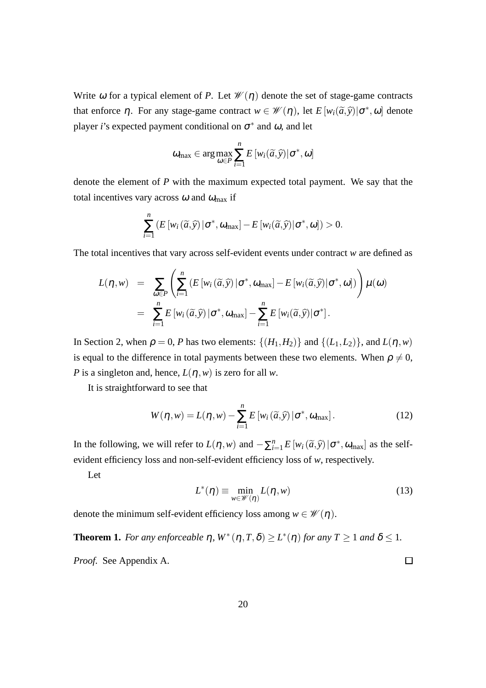Write  $\omega$  for a typical element of *P*. Let  $\mathcal{W}(\eta)$  denote the set of stage-game contracts that enforce  $\eta$ . For any stage-game contract  $w \in \mathcal{W}(\eta)$ , let  $E[w_i(\tilde{a}, \tilde{y})|\sigma^*, \omega]$  denote player *i*'s expected payment conditional on  $\sigma^*$  and  $\omega$ , and let

$$
\omega_{\max} \in \arg \max_{\omega \in P} \sum_{i=1}^{n} E\left[w_i(\widetilde{\alpha}, \widehat{y}) | \sigma^*, \omega\right]
$$

denote the element of *P* with the maximum expected total payment. We say that the total incentives vary across  $\omega$  and  $\omega_{\text{max}}$  if

$$
\sum_{i=1}^{n} \left( E\left[w_i\left(\widetilde{a}, \widehat{y}\right) | \sigma^*, \omega_{\text{max}}\right] - E\left[w_i\left(\widetilde{a}, \widehat{y}\right) | \sigma^*, \omega\right] \right) > 0.
$$

The total incentives that vary across self-evident events under contract *w* are defined as

$$
L(\eta, w) = \sum_{\omega \in P} \left( \sum_{i=1}^{n} \left( E\left[w_i\left(\widetilde{a}, \widehat{y}\right) | \sigma^*, \omega_{\max}\right] - E\left[w_i\left(\widetilde{a}, \widehat{y}\right) | \sigma^*, \omega\right] \right) \right) \mu(\omega)
$$
  
= 
$$
\sum_{i=1}^{n} E\left[w_i\left(\widetilde{a}, \widehat{y}\right) | \sigma^*, \omega_{\max}\right] - \sum_{i=1}^{n} E\left[w_i\left(\widetilde{a}, \widehat{y}\right) | \sigma^*\right].
$$

In Section 2, when  $\rho = 0$ , *P* has two elements:  $\{(H_1, H_2)\}$  and  $\{(L_1, L_2)\}$ , and  $L(\eta, w)$ is equal to the difference in total payments between these two elements. When  $\rho \neq 0$ , *P* is a singleton and, hence,  $L(\eta, w)$  is zero for all *w*.

It is straightforward to see that

$$
W(\eta, w) = L(\eta, w) - \sum_{i=1}^{n} E\left[w_i\left(\tilde{a}, \tilde{y}\right) | \sigma^*, \omega_{\text{max}}\right].\tag{12}
$$

In the following, we will refer to  $L(\eta, w)$  and  $-\sum_{i=1}^{n} E[w_i(\tilde{a}, \hat{y})|\sigma^*, \omega_{max}]$  as the selfevident efficiency loss and non-self-evident efficiency loss of *w*, respectively.

Let

$$
L^*(\eta) \equiv \min_{w \in \mathcal{W}(\eta)} L(\eta, w)
$$
\n(13)

denote the minimum self-evident efficiency loss among  $w \in \mathcal{W}(\eta)$ .

**Theorem 1.** For any enforceable  $\eta$ ,  $W^*(\eta, T, \delta) \geq L^*(\eta)$  for any  $T \geq 1$  and  $\delta \leq 1$ .

*Proof.* See Appendix A.

 $\Box$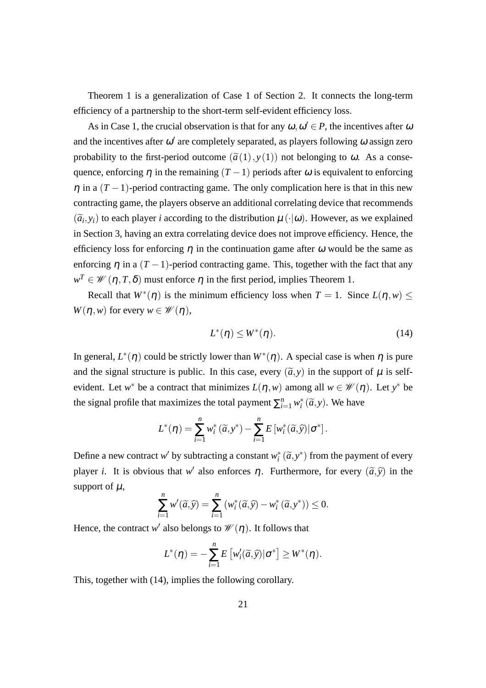Theorem 1 is a generalization of Case 1 of Section 2. It connects the long-term efficiency of a partnership to the short-term self-evident efficiency loss.

As in Case 1, the crucial observation is that for any  $\omega, \omega' \in P$ , the incentives after  $\omega$ and the incentives after  $\omega'$  are completely separated, as players following  $\omega$  assign zero probability to the first-period outcome  $(\tilde{a}(1), y(1))$  not belonging to  $\omega$ . As a consequence, enforcing  $\eta$  in the remaining  $(T - 1)$  periods after  $\omega$  is equivalent to enforcing  $\eta$  in a  $(T-1)$ -period contracting game. The only complication here is that in this new contracting game, the players observe an additional correlating device that recommends  $(\widetilde{a}_i, y_i)$  to each player *i* according to the distribution  $\mu(\cdot|\omega)$ . However, as we explained in Section 3, having an extra correlating device does not improve efficiency. Hence, the efficiency loss for enforcing  $\eta$  in the continuation game after  $\omega$  would be the same as enforcing  $\eta$  in a  $(T - 1)$ -period contracting game. This, together with the fact that any  $w^T \in \mathscr{W}(\eta, T, \delta)$  must enforce  $\eta$  in the first period, implies Theorem 1.

Recall that  $W^*(\eta)$  is the minimum efficiency loss when  $T = 1$ . Since  $L(\eta, w) \leq$  $W(\eta, w)$  for every  $w \in \mathcal{W}(\eta)$ ,

$$
L^*(\eta) \le W^*(\eta). \tag{14}
$$

In general,  $L^*(\eta)$  could be strictly lower than  $W^*(\eta)$ . A special case is when  $\eta$  is pure and the signal structure is public. In this case, every  $(\tilde{a}, y)$  in the support of  $\mu$  is selfevident. Let *w*<sup>\*</sup> be a contract that minimizes  $L(\eta, w)$  among all  $w \in \mathcal{W}(\eta)$ . Let *y*<sup>\*</sup> be the signal profile that maximizes the total payment  $\sum_{i=1}^{n} w_i^* (\tilde{a}, y)$ . We have

$$
L^*(\eta) = \sum_{i=1}^n w_i^* (\widetilde{a}, y^*) - \sum_{i=1}^n E\left[w_i^* (\widetilde{a}, \widehat{y}) \middle| \sigma^*\right].
$$

Define a new contract *w*<sup> $\prime$ </sup> by subtracting a constant  $w_i^* (\tilde{a}, y^*)$  from the payment of every player *i*. It is obvious that *w*<sup>'</sup> also enforces  $\eta$ . Furthermore, for every  $(\tilde{a}, \tilde{y})$  in the support of  $\mu$ ,

$$
\sum_{i=1}^n w'(\widetilde{a}, \widehat{y}) = \sum_{i=1}^n (w_i^*(\widetilde{a}, \widehat{y}) - w_i^*(\widetilde{a}, y^*)) \le 0.
$$

Hence, the contract *w'* also belongs to  $\mathscr{W}(\eta)$ . It follows that

$$
L^*(\eta) = -\sum_{i=1}^n E\left[w'_i(\widetilde{a}, \widehat{y})|\sigma^*\right] \geq W^*(\eta).
$$

This, together with (14), implies the following corollary.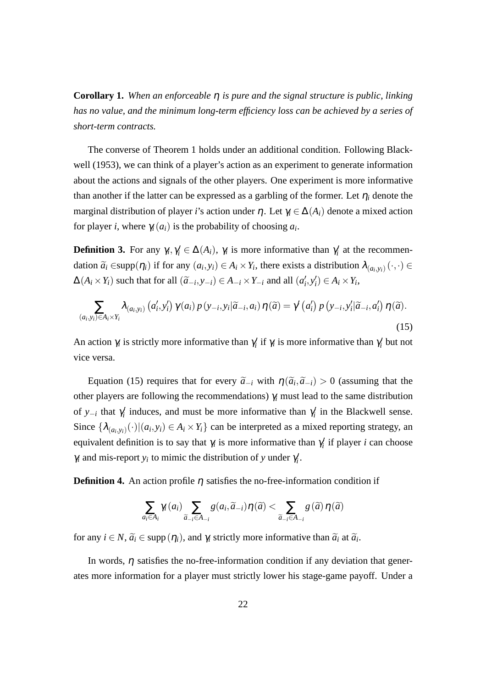**Corollary 1.** *When an enforceable* η *is pure and the signal structure is public, linking has no value, and the minimum long-term efficiency loss can be achieved by a series of short-term contracts.*

The converse of Theorem 1 holds under an additional condition. Following Blackwell (1953), we can think of a player's action as an experiment to generate information about the actions and signals of the other players. One experiment is more informative than another if the latter can be expressed as a garbling of the former. Let  $\eta_i$  denote the marginal distribution of player *i*'s action under  $\eta$ . Let  $\gamma_i \in \Delta(A_i)$  denote a mixed action for player *i*, where  $\gamma_i(a_i)$  is the probability of choosing  $a_i$ .

**Definition 3.** For any  $\gamma_i, \gamma'_i \in \Delta(A_i)$ ,  $\gamma_i$  is more informative than  $\gamma'_i$  at the recommendation  $\widetilde{a}_i \in \text{supp}(\eta_i)$  if for any  $(a_i, y_i) \in A_i \times Y_i$ , there exists a distribution  $\lambda_{(a_i, y_i)}(\cdot, \cdot) \in$  $\Delta(A_i \times Y_i)$  such that for all  $(\widetilde{a}_{-i}, y_{-i}) \in A_{-i} \times Y_{-i}$  and all  $(a'_i, y'_i) \in A_i \times Y_i$ ,

$$
\sum_{(a_i, y_i) \in A_i \times Y_i} \lambda_{(a_i, y_i)} (a'_i, y'_i) \gamma(a_i) p(y_{-i}, y_i | \widetilde{a}_{-i}, a_i) \eta(\widetilde{a}) = \gamma'(a'_i) p(y_{-i}, y'_i | \widetilde{a}_{-i}, a'_i) \eta(\widetilde{a}).
$$
\n(15)

An action  $\gamma_i$  is strictly more informative than  $\gamma'_i$  if  $\gamma_i$  is more informative than  $\gamma'_i$  but not vice versa.

Equation (15) requires that for every  $\tilde{a}_{-i}$  with  $\eta(\tilde{a}_i, \tilde{a}_{-i}) > 0$  (assuming that the other players are following the recommendations) <sup>γ</sup>*<sup>i</sup>* must lead to the same distribution of *y*<sub>−*i*</sub> that  $\gamma'_i$  induces, and must be more informative than  $\gamma'_i$  in the Blackwell sense. Since  $\{\lambda_{(a_i,y_i)}(\cdot)| (a_i,y_i) \in A_i \times Y_i\}$  can be interpreted as a mixed reporting strategy, an equivalent definition is to say that  $\gamma_i$  is more informative than  $\gamma'_i$  if player *i* can choose  $\gamma_i$  and mis-report  $y_i$  to mimic the distribution of *y* under  $\gamma'_i$ .

**Definition 4.** An action profile *n* satisfies the no-free-information condition if

$$
\sum_{a_i \in A_i} \gamma_i(a_i) \sum_{\widetilde{a}_{-i} \in A_{-i}} g(a_i, \widetilde{a}_{-i}) \eta(\widetilde{a}) < \sum_{\widetilde{a}_{-i} \in A_{-i}} g(\widetilde{a}) \eta(\widetilde{a})
$$

for any  $i \in N$ ,  $\tilde{a}_i \in \text{supp}(\eta_i)$ , and  $\gamma_i$  strictly more informative than  $\tilde{a}_i$  at  $\tilde{a}_i$ .

In words,  $\eta$  satisfies the no-free-information condition if any deviation that generates more information for a player must strictly lower his stage-game payoff. Under a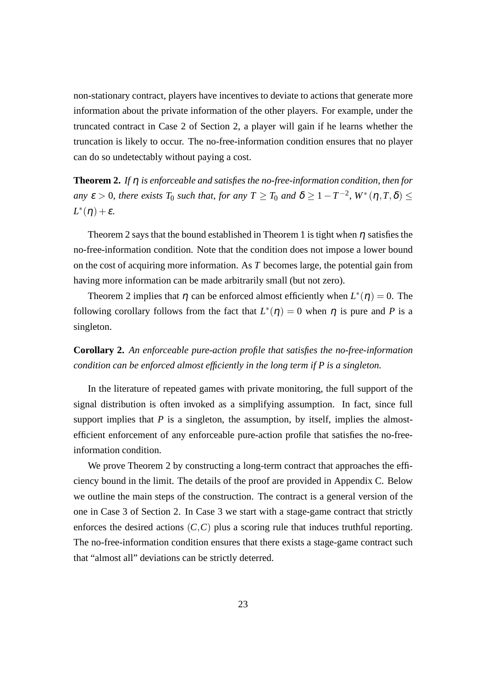non-stationary contract, players have incentives to deviate to actions that generate more information about the private information of the other players. For example, under the truncated contract in Case 2 of Section 2, a player will gain if he learns whether the truncation is likely to occur. The no-free-information condition ensures that no player can do so undetectably without paying a cost.

**Theorem 2.** *If* η *is enforceable and satisfies the no-free-information condition, then for any*  $\varepsilon > 0$ , there exists  $T_0$  such that, for any  $T \geq T_0$  and  $\delta \geq 1 - T^{-2}$ ,  $W^*(\eta, T, \delta) \leq$  $L^*(\eta) + \varepsilon$ *.* 

Theorem 2 says that the bound established in Theorem 1 is tight when  $\eta$  satisfies the no-free-information condition. Note that the condition does not impose a lower bound on the cost of acquiring more information. As *T* becomes large, the potential gain from having more information can be made arbitrarily small (but not zero).

Theorem 2 implies that  $\eta$  can be enforced almost efficiently when  $L^*(\eta) = 0$ . The following corollary follows from the fact that  $L^*(\eta) = 0$  when  $\eta$  is pure and *P* is a singleton.

**Corollary 2.** *An enforceable pure-action profile that satisfies the no-free-information condition can be enforced almost efficiently in the long term if P is a singleton.*

In the literature of repeated games with private monitoring, the full support of the signal distribution is often invoked as a simplifying assumption. In fact, since full support implies that  $P$  is a singleton, the assumption, by itself, implies the almostefficient enforcement of any enforceable pure-action profile that satisfies the no-freeinformation condition.

We prove Theorem 2 by constructing a long-term contract that approaches the efficiency bound in the limit. The details of the proof are provided in Appendix C. Below we outline the main steps of the construction. The contract is a general version of the one in Case 3 of Section 2. In Case 3 we start with a stage-game contract that strictly enforces the desired actions  $(C, C)$  plus a scoring rule that induces truthful reporting. The no-free-information condition ensures that there exists a stage-game contract such that "almost all" deviations can be strictly deterred.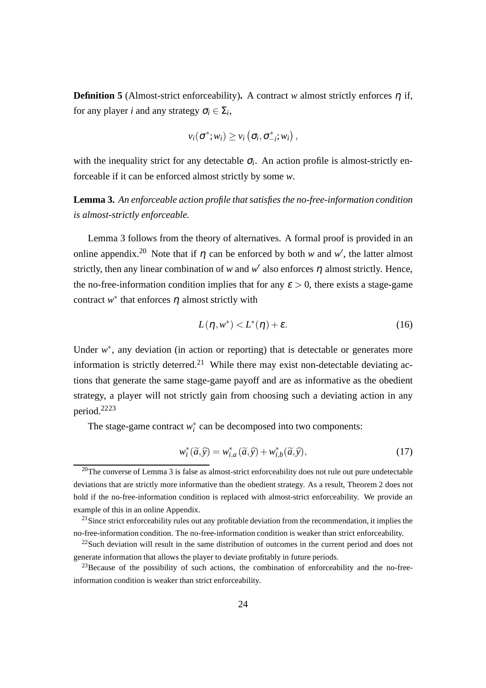**Definition 5** (Almost-strict enforceability). A contract *w* almost strictly enforces  $\eta$  if, for any player *i* and any strategy  $\sigma_i \in \Sigma_i$ ,

$$
v_i(\sigma^*; w_i) \geq v_i\left(\sigma_i, \sigma^*_{-i}; w_i\right),
$$

with the inequality strict for any detectable  $\sigma_i$ . An action profile is almost-strictly enforceable if it can be enforced almost strictly by some *w*.

**Lemma 3.** *An enforceable action profile that satisfies the no-free-information condition is almost-strictly enforceable.*

Lemma 3 follows from the theory of alternatives. A formal proof is provided in an online appendix.<sup>20</sup> Note that if  $\eta$  can be enforced by both *w* and *w'*, the latter almost strictly, then any linear combination of *w* and  $w'$  also enforces  $\eta$  almost strictly. Hence, the no-free-information condition implies that for any  $\varepsilon > 0$ , there exists a stage-game contract  $w^*$  that enforces  $\eta$  almost strictly with

$$
L(\eta, w^*) < L^*(\eta) + \varepsilon. \tag{16}
$$

Under  $w^*$ , any deviation (in action or reporting) that is detectable or generates more information is strictly deterred.<sup>21</sup> While there may exist non-detectable deviating actions that generate the same stage-game payoff and are as informative as the obedient strategy, a player will not strictly gain from choosing such a deviating action in any period.<sup>2223</sup>

The stage-game contract  $w_i^*$  can be decomposed into two components:

$$
w_i^*(\widetilde{a}, \widehat{y}) = w_{i,a}^*(\widetilde{a}, \widehat{y}) + w_{i,b}^*(\widetilde{a}, \widehat{y}),
$$
\n(17)

 $20$ The converse of Lemma 3 is false as almost-strict enforceability does not rule out pure undetectable deviations that are strictly more informative than the obedient strategy. As a result, Theorem 2 does not hold if the no-free-information condition is replaced with almost-strict enforceability. We provide an example of this in an online Appendix.

<sup>&</sup>lt;sup>21</sup>Since strict enforceability rules out any profitable deviation from the recommendation, it implies the no-free-information condition. The no-free-information condition is weaker than strict enforceability.

<sup>&</sup>lt;sup>22</sup>Such deviation will result in the same distribution of outcomes in the current period and does not generate information that allows the player to deviate profitably in future periods.

 $^{23}$ Because of the possibility of such actions, the combination of enforceability and the no-freeinformation condition is weaker than strict enforceability.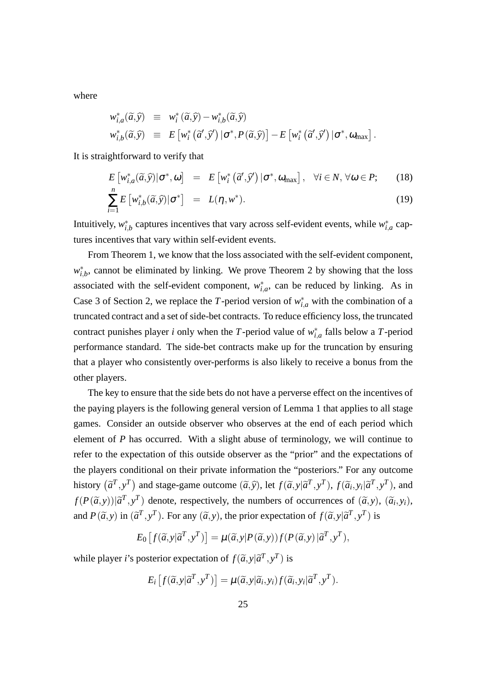where

$$
w_{i,a}^*(\tilde{a}, \tilde{y}) \equiv w_i^*(\tilde{a}, \tilde{y}) - w_{i,b}^*(\tilde{a}, \tilde{y})
$$
  

$$
w_{i,b}^*(\tilde{a}, \tilde{y}) \equiv E\left[w_i^*\left(\tilde{a}', \tilde{y}'\right)|\sigma^*, P(\tilde{a}, \tilde{y})\right] - E\left[w_i^*\left(\tilde{a}', \tilde{y}'\right)|\sigma^*, \omega_{\max}\right].
$$

It is straightforward to verify that

$$
E\left[w_{i,a}^*(\widetilde{a},\widehat{y})|\sigma^*,\omega\right] = E\left[w_i^*\left(\widetilde{a}',\widehat{y}'\right)|\sigma^*,\omega_{\text{max}}\right], \quad \forall i \in \mathbb{N}, \forall \omega \in \mathbb{P};\qquad(18)
$$

$$
\sum_{i=1}^{n} E\left[w_{i,b}^*(\widetilde{a}, \widehat{y})|\sigma^*\right] = L(\eta, w^*).
$$
\n(19)

Intuitively,  $w_{i,b}^*$  captures incentives that vary across self-evident events, while  $w_{i,a}^*$  captures incentives that vary within self-evident events.

From Theorem 1, we know that the loss associated with the self-evident component,  $w_{i,b}^*$ , cannot be eliminated by linking. We prove Theorem 2 by showing that the loss associated with the self-evident component,  $w_{i,a}^*$ , can be reduced by linking. As in Case 3 of Section 2, we replace the *T*-period version of  $w_{i,a}^*$  with the combination of a truncated contract and a set of side-bet contracts. To reduce efficiency loss, the truncated contract punishes player *i* only when the *T*-period value of  $w_{i,a}^*$  falls below a *T*-period performance standard. The side-bet contracts make up for the truncation by ensuring that a player who consistently over-performs is also likely to receive a bonus from the other players.

The key to ensure that the side bets do not have a perverse effect on the incentives of the paying players is the following general version of Lemma 1 that applies to all stage games. Consider an outside observer who observes at the end of each period which element of *P* has occurred. With a slight abuse of terminology, we will continue to refer to the expectation of this outside observer as the "prior" and the expectations of the players conditional on their private information the "posteriors." For any outcome history  $(\tilde{a}^T, y^T)$  and stage-game outcome  $(\tilde{a}, \tilde{y})$ , let  $f(\tilde{a}, y | \tilde{a}^T, y^T)$ ,  $f(\tilde{a}_i, y_i | \tilde{a}^T, y^T)$ , and  $f(P(\tilde{a}, y))|\tilde{a}^T, y^T$  denote, respectively, the numbers of occurrences of  $(\tilde{a}, y)$ ,  $(\tilde{a}_i, y_i)$ , and  $P(\tilde{a}, y)$  in  $(\tilde{a}^T, y^T)$ . For any  $(\tilde{a}, y)$ , the prior expectation of  $f(\tilde{a}, y | \tilde{a}^T, y^T)$  is

$$
E_0\left[f(\widetilde{a},y|\widetilde{a}^T,y^T)\right] = \mu(\widetilde{a},y|P(\widetilde{a},y))f(P(\widetilde{a},y)|\widetilde{a}^T,y^T),
$$

while player *i*'s posterior expectation of  $f(\tilde{a}, y | \tilde{a}^T, y^T)$  is

$$
E_i\left[f(\widetilde{a},y|\widetilde{a}^T,y^T)\right] = \mu(\widetilde{a},y|\widetilde{a}_i,y_i)f(\widetilde{a}_i,y_i|\widetilde{a}^T,y^T).
$$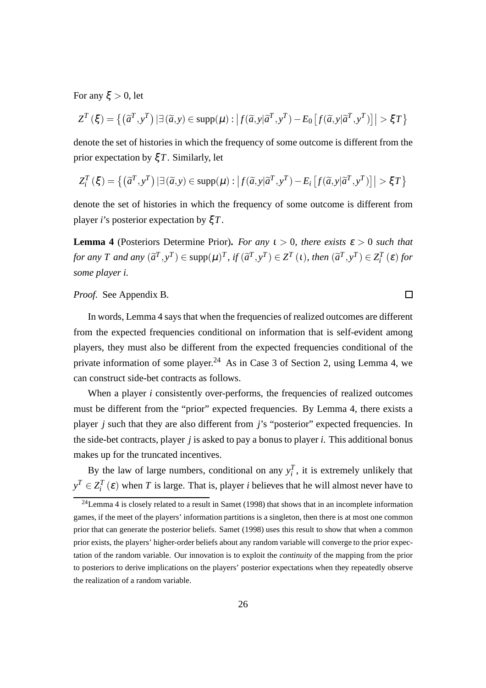For any  $\xi > 0$ , let

$$
Z^{T}(\xi) = \left\{ \left( \tilde{a}^{T}, y^{T} \right) | \exists (\tilde{a}, y) \in \text{supp}(\mu) : \left| f(\tilde{a}, y | \tilde{a}^{T}, y^{T}) - E_{0} \left[ f(\tilde{a}, y | \tilde{a}^{T}, y^{T}) \right] \right| > \xi T \right\}
$$

denote the set of histories in which the frequency of some outcome is different from the prior expectation by ξ*T*. Similarly, let

$$
Z_i^T(\xi) = \{ (\widetilde{a}^T, y^T) | \exists (\widetilde{a}, y) \in \text{supp}(\mu) : |f(\widetilde{a}, y|\widetilde{a}^T, y^T) - E_i [f(\widetilde{a}, y|\widetilde{a}^T, y^T)] | > \xi T \}
$$

denote the set of histories in which the frequency of some outcome is different from player *i*'s posterior expectation by ξ*T*.

**Lemma 4** (Posteriors Determine Prior). *For any*  $t > 0$ *, there exists*  $\varepsilon > 0$  *such that* for any T and any  $(\tilde{a}^T,y^T) \in \text{supp}(\mu)^T$ , if  $(\tilde{a}^T,y^T) \in Z^T$  (t), then  $(\tilde{a}^T,y^T) \in Z_i^T$  ( $\varepsilon$ ) for *some player i.*

#### *Proof.* See Appendix B.

In words, Lemma 4 says that when the frequencies of realized outcomes are different from the expected frequencies conditional on information that is self-evident among players, they must also be different from the expected frequencies conditional of the private information of some player.<sup>24</sup> As in Case 3 of Section 2, using Lemma 4, we can construct side-bet contracts as follows.

When a player *i* consistently over-performs, the frequencies of realized outcomes must be different from the "prior" expected frequencies. By Lemma 4, there exists a player *j* such that they are also different from *j*'s "posterior" expected frequencies. In the side-bet contracts, player *j* is asked to pay a bonus to player *i*. This additional bonus makes up for the truncated incentives.

By the law of large numbers, conditional on any  $y_i^T$ , it is extremely unlikely that  $y^T \in Z_i^T(\varepsilon)$  when *T* is large. That is, player *i* believes that he will almost never have to

 $\Box$ 

 $24$ Lemma 4 is closely related to a result in Samet (1998) that shows that in an incomplete information games, if the meet of the players' information partitions is a singleton, then there is at most one common prior that can generate the posterior beliefs. Samet (1998) uses this result to show that when a common prior exists, the players' higher-order beliefs about any random variable will converge to the prior expectation of the random variable. Our innovation is to exploit the *continuity* of the mapping from the prior to posteriors to derive implications on the players' posterior expectations when they repeatedly observe the realization of a random variable.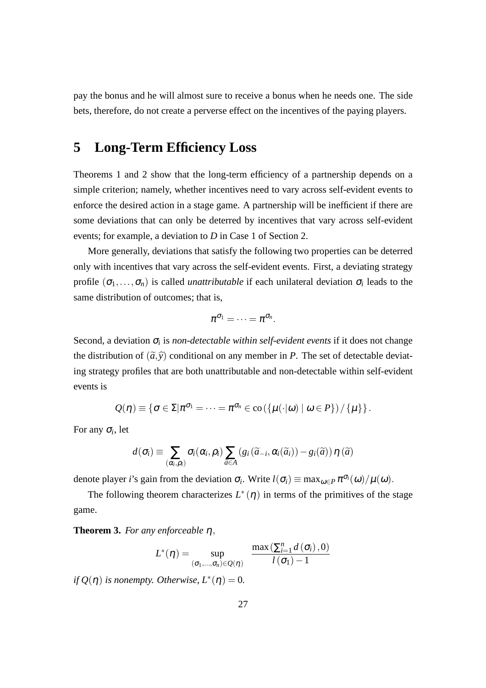pay the bonus and he will almost sure to receive a bonus when he needs one. The side bets, therefore, do not create a perverse effect on the incentives of the paying players.

### **5 Long-Term Efficiency Loss**

Theorems 1 and 2 show that the long-term efficiency of a partnership depends on a simple criterion; namely, whether incentives need to vary across self-evident events to enforce the desired action in a stage game. A partnership will be inefficient if there are some deviations that can only be deterred by incentives that vary across self-evident events; for example, a deviation to *D* in Case 1 of Section 2.

More generally, deviations that satisfy the following two properties can be deterred only with incentives that vary across the self-evident events. First, a deviating strategy profile  $(\sigma_1, \ldots, \sigma_n)$  is called *unattributable* if each unilateral deviation  $\sigma_i$  leads to the same distribution of outcomes; that is,

$$
\pi^{\sigma_1}=\cdots=\pi^{\sigma_n}.
$$

Second, a deviation  $\sigma$ <sub>*i*</sub> is *non-detectable within self-evident events* if it does not change the distribution of  $(\tilde{a}, \tilde{y})$  conditional on any member in *P*. The set of detectable deviating strategy profiles that are both unattributable and non-detectable within self-evident events is

$$
\mathcal{Q}(\eta) \equiv \left\{\sigma \in \Sigma | \pi^{\sigma_1} = \cdots = \pi^{\sigma_n} \in \text{co}\left(\left\{\mu(\cdot | \omega) \mid \omega \in P\right\}\right) / \left\{\mu\right\}\right\}.
$$

For any <sup>σ</sup>*<sup>i</sup>* , let

$$
d(\sigma_i) \equiv \sum_{(\alpha_i,\rho_i)} \sigma_i(\alpha_i,\rho_i) \sum_{\widetilde{a} \in A} (g_i(\widetilde{a}_{-i},\alpha_i(\widetilde{a}_i)) - g_i(\widetilde{a})) \eta(\widetilde{a})
$$

denote player *i*'s gain from the deviation  $\sigma_i$ . Write  $l(\sigma_i) \equiv \max_{\omega \in P} \pi^{\sigma_i}(\omega) / \mu(\omega)$ .

The following theorem characterizes  $L^*(\eta)$  in terms of the primitives of the stage game.

**Theorem 3.** *For any enforceable* <sup>η</sup>,

$$
L^{*}(\eta) = \sup_{(\sigma_1, ..., \sigma_n) \in Q(\eta)} \quad \frac{\max\left(\sum_{i=1}^n d(\sigma_i), 0\right)}{l(\sigma_1) - 1}
$$

*if*  $Q(\eta)$  *is nonempty. Otherwise,*  $L^*(\eta) = 0$ *.*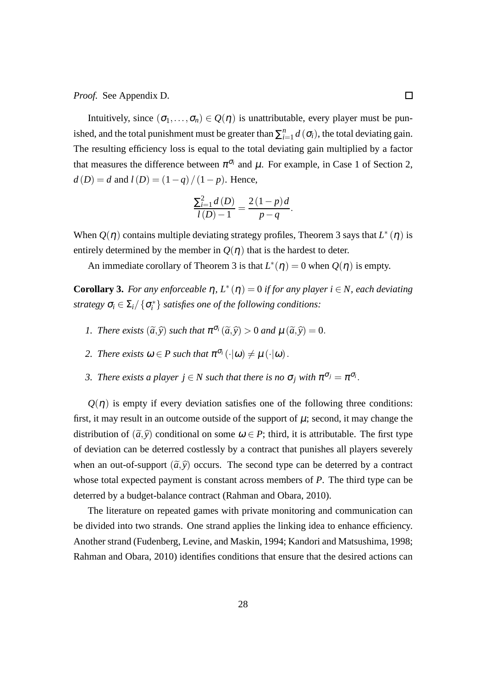*Proof.* See Appendix D.

Intuitively, since  $(\sigma_1,\ldots,\sigma_n) \in Q(\eta)$  is unattributable, every player must be punished, and the total punishment must be greater than  $\sum_{i=1}^{n}$  $\sum_{i=1}^{n} d(\sigma_i)$ , the total deviating gain. The resulting efficiency loss is equal to the total deviating gain multiplied by a factor that measures the difference between  $\pi^{\sigma_i}$  and  $\mu$ . For example, in Case 1 of Section 2, *d*(*D*) = *d* and  $l(D) = (1 - q)/(1 - p)$ . Hence,

$$
\frac{\sum_{i=1}^{2} d(D)}{l(D)-1} = \frac{2(1-p)d}{p-q}.
$$

When  $Q(\eta)$  contains multiple deviating strategy profiles, Theorem 3 says that  $L^*(\eta)$  is entirely determined by the member in  $Q(\eta)$  that is the hardest to deter.

An immediate corollary of Theorem 3 is that  $L^*(\eta) = 0$  when  $Q(\eta)$  is empty.

**Corollary 3.** For any enforceable  $\eta$ ,  $L^*(\eta) = 0$  if for any player  $i \in N$ , each deviating *strategy*  $\sigma_i \in \Sigma_i / \{\sigma_i^*\}$  *satisfies one of the following conditions:* 

- *1. There exists*  $(\tilde{a}, \tilde{y})$  *such that*  $\pi^{\sigma_i}(\tilde{a}, \tilde{y}) > 0$  *and*  $\mu(\tilde{a}, \tilde{y}) = 0$ .
- 2. There exists  $\omega \in P$  such that  $\pi^{\sigma_i}(\cdot | \omega) \neq \mu(\cdot | \omega)$ .
- 3. There exists a player  $j \in N$  such that there is no  $\sigma_j$  with  $\pi^{\sigma_j} = \pi^{\sigma_i}$ .

 $Q(\eta)$  is empty if every deviation satisfies one of the following three conditions: first, it may result in an outcome outside of the support of  $\mu$ ; second, it may change the distribution of  $(\tilde{a}, \tilde{y})$  conditional on some  $\omega \in P$ ; third, it is attributable. The first type of deviation can be deterred costlessly by a contract that punishes all players severely when an out-of-support  $(\tilde{a}, \tilde{y})$  occurs. The second type can be deterred by a contract whose total expected payment is constant across members of *P*. The third type can be deterred by a budget-balance contract (Rahman and Obara, 2010).

The literature on repeated games with private monitoring and communication can be divided into two strands. One strand applies the linking idea to enhance efficiency. Another strand (Fudenberg, Levine, and Maskin, 1994; Kandori and Matsushima, 1998; Rahman and Obara, 2010) identifies conditions that ensure that the desired actions can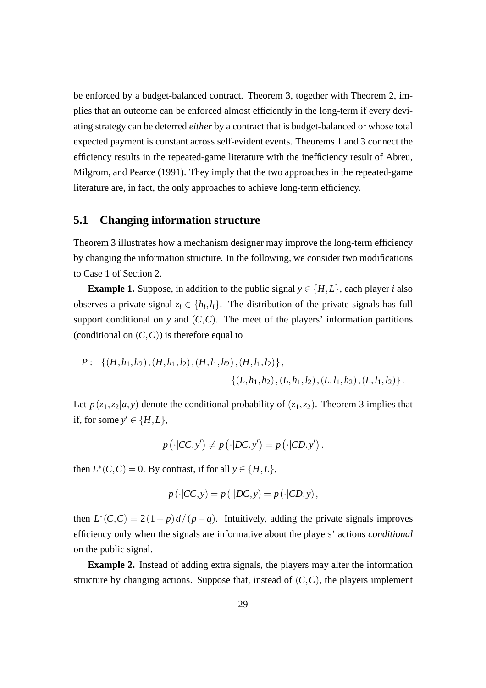be enforced by a budget-balanced contract. Theorem 3, together with Theorem 2, implies that an outcome can be enforced almost efficiently in the long-term if every deviating strategy can be deterred *either* by a contract that is budget-balanced or whose total expected payment is constant across self-evident events. Theorems 1 and 3 connect the efficiency results in the repeated-game literature with the inefficiency result of Abreu, Milgrom, and Pearce (1991). They imply that the two approaches in the repeated-game literature are, in fact, the only approaches to achieve long-term efficiency.

#### **5.1 Changing information structure**

Theorem 3 illustrates how a mechanism designer may improve the long-term efficiency by changing the information structure. In the following, we consider two modifications to Case 1 of Section 2.

**Example 1.** Suppose, in addition to the public signal  $y \in \{H, L\}$ , each player *i* also observes a private signal  $z_i \in \{h_i, l_i\}$ . The distribution of the private signals has full support conditional on *y* and  $(C, C)$ . The meet of the players' information partitions (conditional on  $(C, C)$ ) is therefore equal to

*P* : {(*H*,*h*1,*h*2),(*H*,*h*1,*l*2),(*H*,*l*1,*h*2),(*H*,*l*1,*l*2)}, {(*L*,*h*1,*h*2),(*L*,*h*1,*l*2),(*L*,*l*1,*h*2),(*L*,*l*1,*l*2)}.

Let  $p(z_1, z_2|a, y)$  denote the conditional probability of  $(z_1, z_2)$ . Theorem 3 implies that if, for some  $y' \in \{H, L\}$ ,

$$
p(\cdot|CC,y') \neq p(\cdot|DC,y') = p(\cdot|CD,y'),
$$

then  $L^*(C, C) = 0$ . By contrast, if for all  $y \in \{H, L\}$ ,

$$
p(\cdot|CC, y) = p(\cdot|DC, y) = p(\cdot|CD, y),
$$

then  $L^*(C, C) = 2(1-p)d/(p-q)$ . Intuitively, adding the private signals improves efficiency only when the signals are informative about the players' actions *conditional* on the public signal.

**Example 2.** Instead of adding extra signals, the players may alter the information structure by changing actions. Suppose that, instead of  $(C, C)$ , the players implement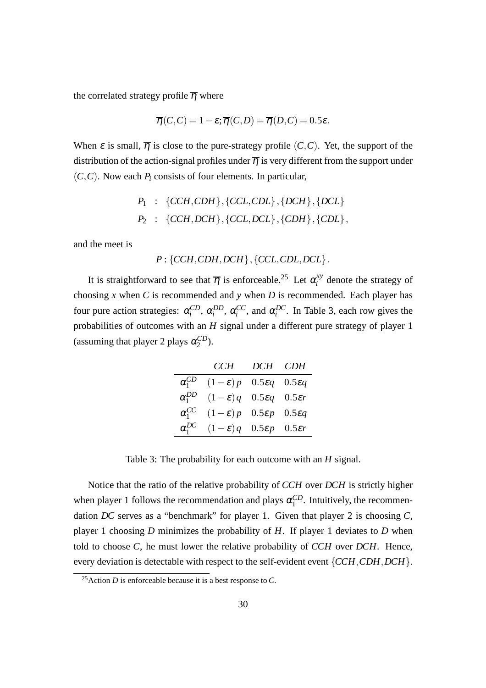the correlated strategy profile  $\overline{\eta}$  where

$$
\overline{\eta}(C,C) = 1 - \varepsilon; \overline{\eta}(C,D) = \overline{\eta}(D,C) = 0.5\varepsilon.
$$

When  $\varepsilon$  is small,  $\overline{\eta}$  is close to the pure-strategy profile  $(C, C)$ . Yet, the support of the distribution of the action-signal profiles under  $\overline{\eta}$  is very different from the support under (*C*,*C*). Now each *P<sup>i</sup>* consists of four elements. In particular,

$$
P_1
$$
 : {CCH,CDH}, {CCL,CDL}, {DCH}, {DCL}  
\n $P_2$  : {CCH, DCH}, {CCL, DCL}, {CDH}, {CDL},

and the meet is

$$
P: \{CCH, CDH, DCH\}, \{CCL, CDL, DCL\}.
$$

It is straightforward to see that  $\overline{\eta}$  is enforceable.<sup>25</sup> Let  $\alpha_i^{xy}$  $i$ <sup>ty</sup> denote the strategy of choosing *x* when *C* is recommended and *y* when *D* is recommended. Each player has four pure action strategies:  $\alpha_i^{CD}$ ,  $\alpha_i^{DD}$ ,  $\alpha_i^{CC}$ , and  $\alpha_i^{DC}$ . In Table 3, each row gives the probabilities of outcomes with an *H* signal under a different pure strategy of player 1 (assuming that player 2 plays  $\alpha_2^{CD}$  $_{2}^{CD}$ ).

|                 | CCH                                                          | DCH CDH |  |
|-----------------|--------------------------------------------------------------|---------|--|
| $\alpha_1^{CD}$ | $(1-\varepsilon)p$ 0.5 $\varepsilon q$ 0.5 $\varepsilon q$   |         |  |
| $\alpha_1^{DD}$ | $(1-\varepsilon)q$ 0.5 $\varepsilon q$ 0.5 $\varepsilon r$   |         |  |
| $\alpha_1^{CC}$ | $(1 - \varepsilon)p$ 0.5 $\varepsilon p$ 0.5 $\varepsilon q$ |         |  |
| $\alpha_1^{DC}$ | $(1-\varepsilon)q$ 0.5 $\varepsilon p$ 0.5 $\varepsilon r$   |         |  |

Table 3: The probability for each outcome with an *H* signal.

Notice that the ratio of the relative probability of *CCH* over *DCH* is strictly higher when player 1 follows the recommendation and plays  $\alpha_1^{CD}$  $_1^{CD}$ . Intuitively, the recommendation *DC* serves as a "benchmark" for player 1. Given that player 2 is choosing *C*, player 1 choosing *D* minimizes the probability of *H*. If player 1 deviates to *D* when told to choose *C*, he must lower the relative probability of *CCH* over *DCH*. Hence, every deviation is detectable with respect to the self-evident event {*CCH*,*CDH*,*DCH*}.

<sup>25</sup>Action *D* is enforceable because it is a best response to *C*.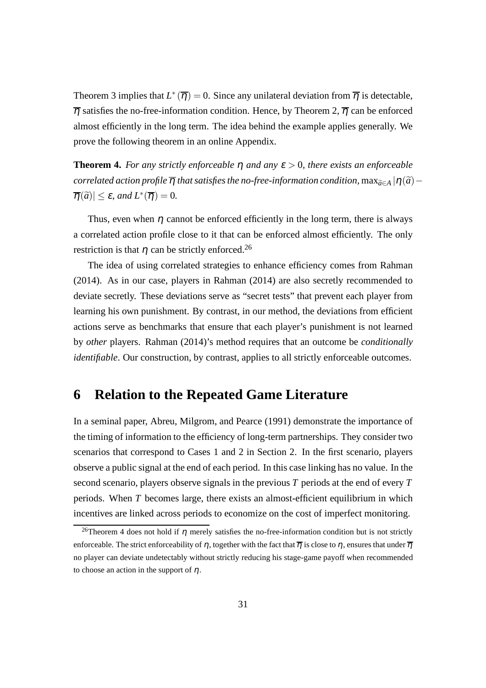Theorem 3 implies that  $L^*(\overline{\eta}) = 0$ . Since any unilateral deviation from  $\overline{\eta}$  is detectable,  $\overline{\eta}$  satisfies the no-free-information condition. Hence, by Theorem 2,  $\overline{\eta}$  can be enforced almost efficiently in the long term. The idea behind the example applies generally. We prove the following theorem in an online Appendix.

**Theorem 4.** *For any strictly enforceable*  $\eta$  *and any*  $\varepsilon > 0$ *, there exists an enforceable correlated action profile*  $\overline{\eta}$  *that satisfies the no-free-information condition,* max $_{\tilde{a} \in A}$  | $\eta(\tilde{a})$  –  $|\overline{\eta}(\widetilde{a})| \leq \varepsilon$ , and  $L^*(\overline{\eta}) = 0$ .

Thus, even when  $\eta$  cannot be enforced efficiently in the long term, there is always a correlated action profile close to it that can be enforced almost efficiently. The only restriction is that  $\eta$  can be strictly enforced.<sup>26</sup>

The idea of using correlated strategies to enhance efficiency comes from Rahman (2014). As in our case, players in Rahman (2014) are also secretly recommended to deviate secretly. These deviations serve as "secret tests" that prevent each player from learning his own punishment. By contrast, in our method, the deviations from efficient actions serve as benchmarks that ensure that each player's punishment is not learned by *other* players. Rahman (2014)'s method requires that an outcome be *conditionally identifiable*. Our construction, by contrast, applies to all strictly enforceable outcomes.

### **6 Relation to the Repeated Game Literature**

In a seminal paper, Abreu, Milgrom, and Pearce (1991) demonstrate the importance of the timing of information to the efficiency of long-term partnerships. They consider two scenarios that correspond to Cases 1 and 2 in Section 2. In the first scenario, players observe a public signal at the end of each period. In this case linking has no value. In the second scenario, players observe signals in the previous *T* periods at the end of every *T* periods. When *T* becomes large, there exists an almost-efficient equilibrium in which incentives are linked across periods to economize on the cost of imperfect monitoring.

<sup>&</sup>lt;sup>26</sup>Theorem 4 does not hold if  $\eta$  merely satisfies the no-free-information condition but is not strictly enforceable. The strict enforceability of  $\eta$ , together with the fact that  $\overline{\eta}$  is close to  $\eta$ , ensures that under  $\overline{\eta}$ no player can deviate undetectably without strictly reducing his stage-game payoff when recommended to choose an action in the support of  $\eta$ .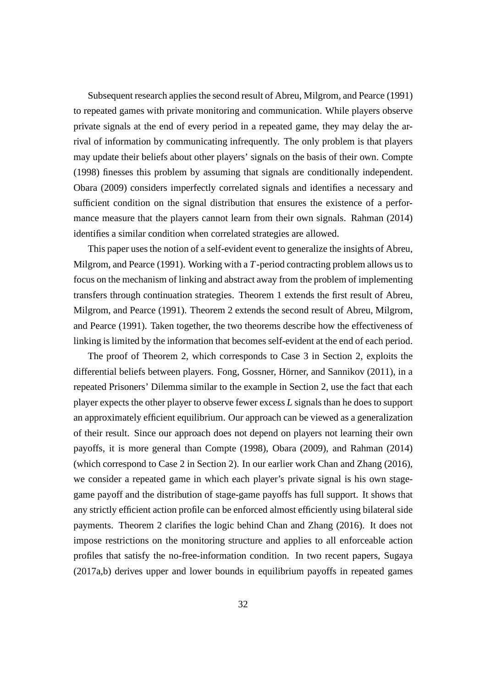Subsequent research applies the second result of Abreu, Milgrom, and Pearce (1991) to repeated games with private monitoring and communication. While players observe private signals at the end of every period in a repeated game, they may delay the arrival of information by communicating infrequently. The only problem is that players may update their beliefs about other players' signals on the basis of their own. Compte (1998) finesses this problem by assuming that signals are conditionally independent. Obara (2009) considers imperfectly correlated signals and identifies a necessary and sufficient condition on the signal distribution that ensures the existence of a performance measure that the players cannot learn from their own signals. Rahman (2014) identifies a similar condition when correlated strategies are allowed.

This paper uses the notion of a self-evident event to generalize the insights of Abreu, Milgrom, and Pearce (1991). Working with a *T*-period contracting problem allows us to focus on the mechanism of linking and abstract away from the problem of implementing transfers through continuation strategies. Theorem 1 extends the first result of Abreu, Milgrom, and Pearce (1991). Theorem 2 extends the second result of Abreu, Milgrom, and Pearce (1991). Taken together, the two theorems describe how the effectiveness of linking is limited by the information that becomes self-evident at the end of each period.

The proof of Theorem 2, which corresponds to Case 3 in Section 2, exploits the differential beliefs between players. Fong, Gossner, Hörner, and Sannikov (2011), in a repeated Prisoners' Dilemma similar to the example in Section 2, use the fact that each player expects the other player to observe fewer excess *L* signals than he does to support an approximately efficient equilibrium. Our approach can be viewed as a generalization of their result. Since our approach does not depend on players not learning their own payoffs, it is more general than Compte (1998), Obara (2009), and Rahman (2014) (which correspond to Case 2 in Section 2). In our earlier work Chan and Zhang (2016), we consider a repeated game in which each player's private signal is his own stagegame payoff and the distribution of stage-game payoffs has full support. It shows that any strictly efficient action profile can be enforced almost efficiently using bilateral side payments. Theorem 2 clarifies the logic behind Chan and Zhang (2016). It does not impose restrictions on the monitoring structure and applies to all enforceable action profiles that satisfy the no-free-information condition. In two recent papers, Sugaya (2017a,b) derives upper and lower bounds in equilibrium payoffs in repeated games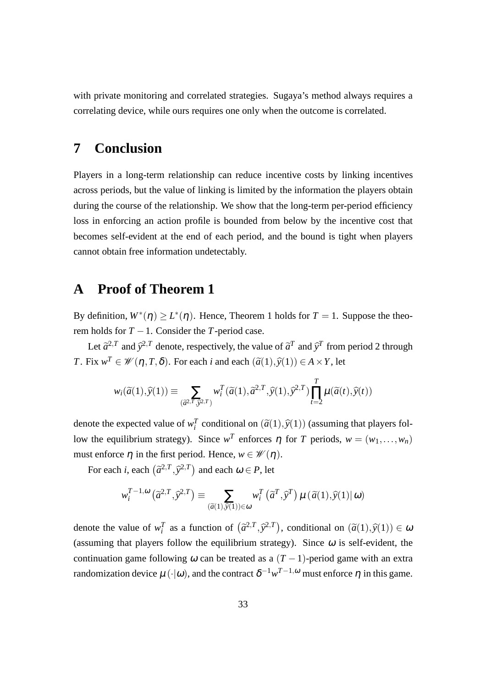with private monitoring and correlated strategies. Sugaya's method always requires a correlating device, while ours requires one only when the outcome is correlated.

### **7 Conclusion**

Players in a long-term relationship can reduce incentive costs by linking incentives across periods, but the value of linking is limited by the information the players obtain during the course of the relationship. We show that the long-term per-period efficiency loss in enforcing an action profile is bounded from below by the incentive cost that becomes self-evident at the end of each period, and the bound is tight when players cannot obtain free information undetectably.

### **A Proof of Theorem 1**

By definition,  $W^*(\eta) \geq L^*(\eta)$ . Hence, Theorem 1 holds for  $T = 1$ . Suppose the theorem holds for  $T - 1$ . Consider the *T*-period case.

Let  $\tilde{a}^{2,T}$  and  $\tilde{y}^{2,T}$  denote, respectively, the value of  $\tilde{a}^{T}$  and  $\tilde{y}^{T}$  from period 2 through *T*. Fix  $w^T \in W(\eta, T, \delta)$ . For each *i* and each  $(\tilde{a}(1), \tilde{y}(1)) \in A \times Y$ , let

$$
w_i(\widetilde{a}(1),\widehat{y}(1)) \equiv \sum_{(\widetilde{a}^2,\widetilde{y}^2,T)} w_i^T(\widetilde{a}(1),\widetilde{a}^{2,T},\widehat{y}(1),\widehat{y}^{2,T}) \prod_{t=2}^T \mu(\widetilde{a}(t),\widehat{y}(t))
$$

denote the expected value of  $w_i^T$  conditional on  $(\tilde{a}(1), \tilde{y}(1))$  (assuming that players follow the equilibrium strategy). Since  $w^T$  enforces  $\eta$  for  $T$  periods,  $w = (w_1, \ldots, w_n)$ must enforce  $\eta$  in the first period. Hence,  $w \in \mathcal{W}(\eta)$ .

For each *i*, each  $(\tilde{a}^{2,T}, \tilde{y}^{2,T})$  and each  $\omega \in P$ , let

$$
w_i^{T-1,\omega}(\tilde{a}^{2,T},\tilde{y}^{2,T}) \equiv \sum_{\left(\tilde{a}(1),\tilde{y}(1)\right) \in \omega} w_i^T\left(\tilde{a}^T,\tilde{y}^T\right) \mu\left(\tilde{a}(1),\tilde{y}(1)|\omega\right)
$$

denote the value of  $w_i^T$  as a function of  $(\tilde{a}^{2,T}, \tilde{y}^{2,T})$ , conditional on  $(\tilde{a}(1), \tilde{y}(1)) \in \omega$ (assuming that players follow the equilibrium strategy). Since  $\omega$  is self-evident, the continuation game following  $\omega$  can be treated as a  $(T-1)$ -period game with an extra randomization device  $\mu(\cdot|\omega)$ , and the contract  $\delta^{-1}w^{T-1,\omega}$  must enforce  $\eta$  in this game.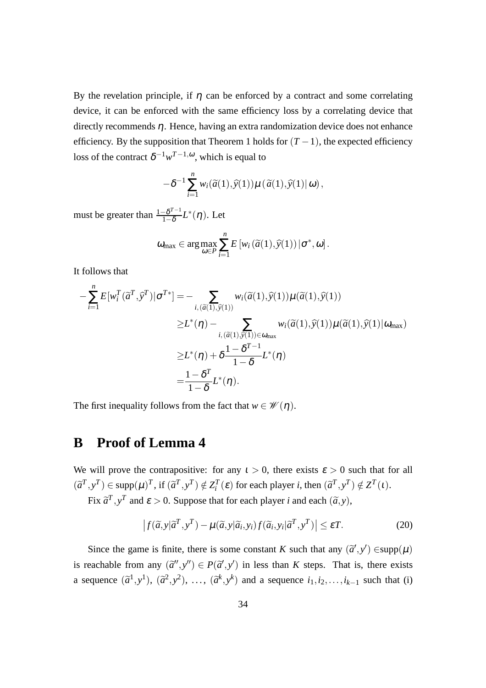By the revelation principle, if  $\eta$  can be enforced by a contract and some correlating device, it can be enforced with the same efficiency loss by a correlating device that directly recommends  $\eta$ . Hence, having an extra randomization device does not enhance efficiency. By the supposition that Theorem 1 holds for  $(T - 1)$ , the expected efficiency loss of the contract  $\delta^{-1} w^{T-1, \omega}$ , which is equal to

$$
-\delta^{-1}\sum_{i=1}^n w_i(\widetilde{a}(1),\widehat{y}(1))\mu(\widetilde{a}(1),\widehat{y}(1)|\omega),
$$

must be greater than  $\frac{1-\delta^{T-1}}{1-\delta}$  $\frac{-\delta^{I-1}}{1-\delta}L^*(\eta)$ . Let

$$
\omega_{\max} \in \arg \max_{\omega \in P} \sum_{i=1}^{n} E\left[w_i\left(\widetilde{a}(1), \widehat{y}(1)\right) | \sigma^*, \omega\right].
$$

It follows that

$$
-\sum_{i=1}^{n} E[w_i^T(\tilde{a}^T, \tilde{y}^T)|\sigma^{T*}] = -\sum_{i, (\tilde{a}(1), \tilde{y}(1))} w_i(\tilde{a}(1), \tilde{y}(1))\mu(\tilde{a}(1), \tilde{y}(1))
$$
  
\n
$$
\geq L^*(\eta) - \sum_{i, (\tilde{a}(1), \tilde{y}(1)) \in \omega_{\text{max}}} w_i(\tilde{a}(1), \tilde{y}(1))\mu(\tilde{a}(1), \tilde{y}(1))\omega_{\text{max}})
$$
  
\n
$$
\geq L^*(\eta) + \delta \frac{1 - \delta^{T-1}}{1 - \delta} L^*(\eta)
$$
  
\n
$$
= \frac{1 - \delta^T}{1 - \delta} L^*(\eta).
$$

The first inequality follows from the fact that  $w \in \mathcal{W}(\eta)$ .

### **B Proof of Lemma 4**

We will prove the contrapositive: for any  $t > 0$ , there exists  $\varepsilon > 0$  such that for all  $(\tilde{a}^T, y^T) \in \text{supp}(\mu)^T$ , if  $(\tilde{a}^T, y^T) \notin Z_i^T(\varepsilon)$  for each player *i*, then  $(\tilde{a}^T, y^T) \notin Z^T(\iota)$ .

Fix  $\tilde{a}^T$ ,  $y^T$  and  $\varepsilon > 0$ . Suppose that for each player *i* and each  $(\tilde{a}, y)$ ,

$$
\left| f(\tilde{a}, y|\tilde{a}^T, y^T) - \mu(\tilde{a}, y|\tilde{a}_i, y_i) f(\tilde{a}_i, y_i|\tilde{a}^T, y^T) \right| \le \varepsilon T.
$$
 (20)

Since the game is finite, there is some constant *K* such that any  $(\tilde{a}', y') \in \text{supp}(\mu)$ is reachable from any  $(\tilde{a}'', y'') \in P(\tilde{a}', y')$  in less than *K* steps. That is, there exists a sequence  $(\tilde{a}^1, y^1)$ ,  $(\tilde{a}^2, y^2)$ , ...,  $(\tilde{a}^k, y^k)$  and a sequence  $i_1, i_2, \ldots, i_{k-1}$  such that (i)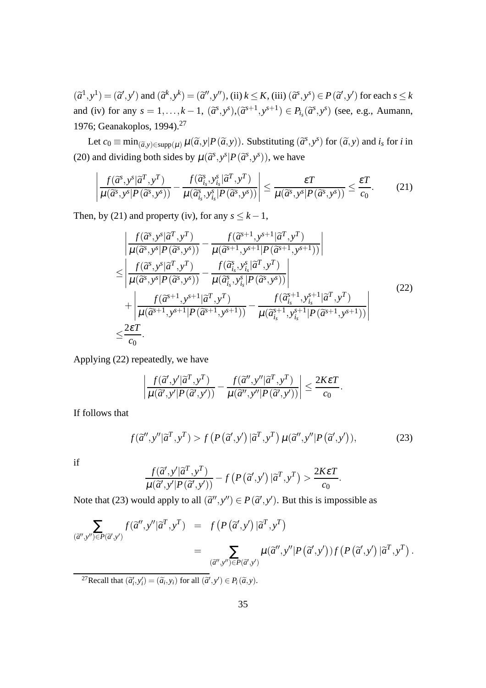$(\tilde{a}^1, y^1) = (\tilde{a}^1, y^1)$  and  $(\tilde{a}^k, y^k) = (\tilde{a}^1, y^1)$ , (ii)  $k \le K$ , (iii)  $(\tilde{a}^s, y^s) \in P(\tilde{a}^1, y^1)$  for each  $s \le k$ and (iv) for any  $s = 1, \ldots, k-1$ ,  $(\tilde{a}^s, y^s), (\tilde{a}^{s+1}, y^{s+1}) \in P_{i_s}(\tilde{a}^s, y^s)$  (see, e.g., Aumann, 1976; Geanakoplos, 1994).<sup>27</sup>

Let  $c_0 \equiv \min_{(\tilde{a}, y) \in \text{supp}(\mu)} \mu(\tilde{a}, y | P(\tilde{a}, y))$ . Substituting  $(\tilde{a}^s, y^s)$  for  $(\tilde{a}, y)$  and  $i_s$  for *i* in (20) and dividing both sides by  $\mu(\tilde{a}^s, y^s | P(\tilde{a}^s, y^s))$ , we have

$$
\left| \frac{f(\widetilde{a}^s, y^s | \widetilde{a}^T, y^T)}{\mu(\widetilde{a}^s, y^s | P(\widetilde{a}^s, y^s))} - \frac{f(\widetilde{a}^s_i, y^s_{i_s} | \widetilde{a}^T, y^T)}{\mu(\widetilde{a}^s_i, y^s_{i_s} | P(\widetilde{a}^s, y^s))} \right| \leq \frac{\varepsilon T}{\mu(\widetilde{a}^s, y^s | P(\widetilde{a}^s, y^s))} \leq \frac{\varepsilon T}{c_0}.
$$
 (21)

Then, by (21) and property (iv), for any  $s \leq k - 1$ ,

$$
\begin{split}\n&\left|\frac{f(\widetilde{a}^{s},y^{s}|\widetilde{a}^{T},y^{T})}{\mu(\widetilde{a}^{s},y^{s}|P(\widetilde{a}^{s},y^{s}))} - \frac{f(\widetilde{a}^{s+1},y^{s+1}|\widetilde{a}^{T},y^{T})}{\mu(\widetilde{a}^{s+1},y^{s+1}|P(\widetilde{a}^{s+1},y^{s+1}))}\right| \\
&\leq \left|\frac{f(\widetilde{a}^{s},y^{s}|\widetilde{a}^{T},y^{T})}{\mu(\widetilde{a}^{s},y^{s}|P(\widetilde{a}^{s},y^{s}))} - \frac{f(\widetilde{a}^{s}_{i_{s}},y^{s}_{i_{s}}|\widetilde{a}^{T},y^{T})}{\mu(\widetilde{a}^{s}_{i_{s}},y^{s}_{i_{s}}|P(\widetilde{a}^{s},y^{s}))}\right| \\
&\quad + \left|\frac{f(\widetilde{a}^{s+1},y^{s+1}|\widetilde{a}^{T},y^{T})}{\mu(\widetilde{a}^{s+1},y^{s+1}|P(\widetilde{a}^{s+1},y^{s+1}))} - \frac{f(\widetilde{a}^{s+1}_{i_{s}},y^{s+1}|\widetilde{a}^{T},y^{T})}{\mu(\widetilde{a}^{s+1}_{i_{s}},y^{s+1}|\widetilde{a}^{s+1},y^{s+1}))}\right|\n\end{split} \tag{22}
$$

Applying (22) repeatedly, we have

$$
\left|\frac{f(\widetilde{a}',y'|\widetilde{a}^T,y^T)}{\mu(\widetilde{a}',y'|P(\widetilde{a}',y'))}-\frac{f(\widetilde{a}'',y''|\widetilde{a}^T,y^T)}{\mu(\widetilde{a}'',y''|P(\widetilde{a}',y'))}\right|\leq \frac{2K\epsilon T}{c_0}.
$$

If follows that

$$
f(\tilde{a}^{\prime\prime}, y^{\prime\prime}|\tilde{a}^T, y^T) > f(P(\tilde{a}^{\prime}, y^{\prime})|\tilde{a}^T, y^T) \mu(\tilde{a}^{\prime\prime}, y^{\prime\prime}|P(\tilde{a}^{\prime}, y^{\prime})), \tag{23}
$$

.

if

$$
\frac{f(\widetilde{a}', y'|\widetilde{a}^T, y^T)}{\mu(\widetilde{a}', y'|P(\widetilde{a}', y'))} - f(P(\widetilde{a}', y')|\widetilde{a}^T, y^T) > \frac{2K\epsilon T}{c_0}
$$

Note that (23) would apply to all  $(\tilde{a}'', y'') \in P(\tilde{a}', y')$ . But this is impossible as

$$
\sum_{\substack{(\tilde{a}'',y'')\in P(\tilde{a}',y')\\ \vdots\\(\tilde{a}'',y'')\in P(\tilde{a}',y'')}} f(\tilde{a}'',y'|\tilde{a}^T,y^T) = f(P(\tilde{a}',y')|\tilde{a}^T,y^T) \\
= \sum_{\substack{(\tilde{a}'',y'')\in P(\tilde{a}',y')\\ \vdots\\(\tilde{a}'',y'')\in P(\tilde{a}',y')}} \mu(\tilde{a}'',y'|\tilde{P}(\tilde{a}',y'))f(P(\tilde{a}',y')|\tilde{a}^T,y^T).
$$

<sup>27</sup>Recall that  $(\tilde{a}'_i, y'_i) = (\tilde{a}_i, y_i)$  for all  $(\tilde{a}'', y') \in P_i(\tilde{a}, y)$ .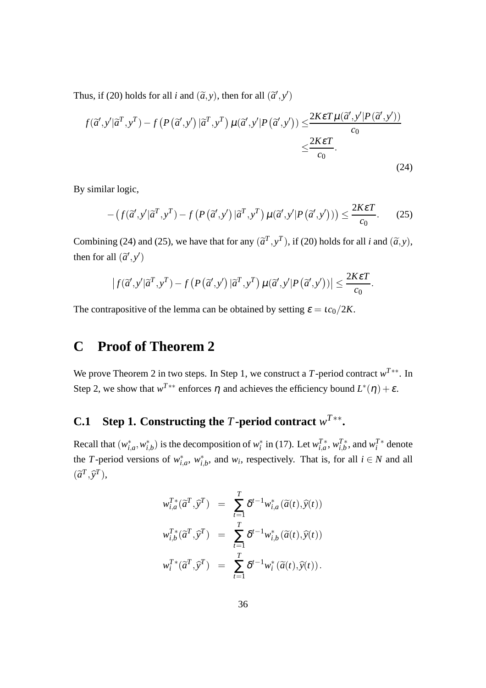Thus, if (20) holds for all *i* and  $(\tilde{a}, y)$ , then for all  $(\tilde{a}', y')$ 

$$
f(\vec{a}', y'|\vec{a}^T, y^T) - f(P(\vec{a}', y')|\vec{a}^T, y^T) \mu(\vec{a}', y'|P(\vec{a}', y')) \leq \frac{2K\epsilon T\mu(\vec{a}', y'|P(\vec{a}', y'))}{c_0}
$$
  

$$
\leq \frac{2K\epsilon T}{c_0}.
$$
 (24)

By similar logic,

$$
- \left( f(\tilde{a}', y' | \tilde{a}^T, y^T) - f\left( P\left( \tilde{a}', y' \right) | \tilde{a}^T, y^T \right) \mu(\tilde{a}', y' | P\left( \tilde{a}', y' \right)) \right) \le \frac{2K\epsilon T}{c_0}.
$$
 (25)

Combining (24) and (25), we have that for any  $(\tilde{a}^T, y^T)$ , if (20) holds for all *i* and  $(\tilde{a}, y)$ , then for all  $(\tilde{a}', y')$ 

$$
\left|f(\widetilde{a}', y'|\widetilde{a}^T, y^T) - f(P(\widetilde{a}', y')|\widetilde{a}^T, y^T)\mu(\widetilde{a}', y'|P(\widetilde{a}', y'))\right| \leq \frac{2K\epsilon T}{c_0}.
$$

The contrapositive of the lemma can be obtained by setting  $\varepsilon = \frac{ic_0}{2K}$ .

## **C Proof of Theorem 2**

We prove Theorem 2 in two steps. In Step 1, we construct a *T*-period contract *w <sup>T</sup>*∗∗. In Step 2, we show that  $w^{T**}$  enforces  $\eta$  and achieves the efficiency bound  $L^*(\eta) + \varepsilon$ .

### **C.1** Step 1. Constructing the *T*-period contract  $w^{T**}$ .

Recall that  $(w_{i,a}^*, w_{i,b}^*)$  is the decomposition of  $w_i^*$  in (17). Let  $w_{i,a}^{T*}$ ,  $w_{i,b}^{T*}$  $T^*_{i,b}$ , and  $w_i^{T*}$  denote the *T*-period versions of  $w_{i,a}^*$ ,  $w_{i,b}^*$ , and  $w_i$ , respectively. That is, for all  $i \in N$  and all  $(\widetilde{a}^T, \widehat{y}^T)$ ,

$$
w_{i,a}^{T*}(\tilde{a}^T, \tilde{y}^T) = \sum_{t=1}^T \delta^{t-1} w_{i,a}^*(\tilde{a}(t), \tilde{y}(t))
$$
  

$$
w_{i,b}^{T*}(\tilde{a}^T, \tilde{y}^T) = \sum_{t=1}^T \delta^{t-1} w_{i,b}^*(\tilde{a}(t), \tilde{y}(t))
$$
  

$$
w_i^{T*}(\tilde{a}^T, \tilde{y}^T) = \sum_{t=1}^T \delta^{t-1} w_i^*(\tilde{a}(t), \tilde{y}(t)).
$$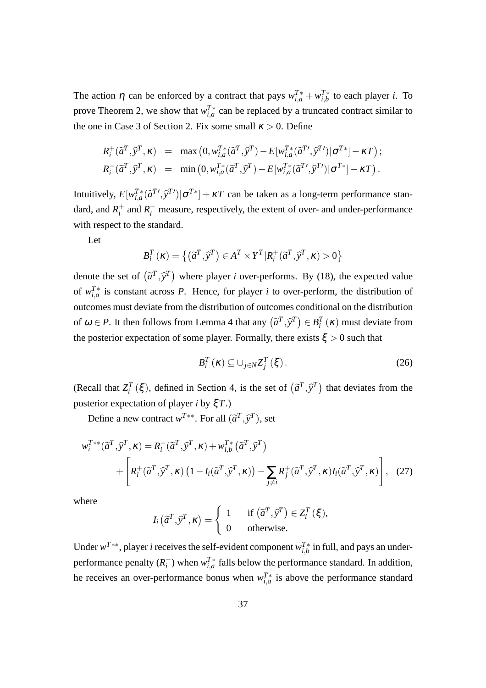The action  $\eta$  can be enforced by a contract that pays  $w_{i,a}^{T*} + w_{i,b}^{T*}$  $I_{i,b}^T$  to each player *i*. To prove Theorem 2, we show that  $w_{i,a}^{T*}$  can be replaced by a truncated contract similar to the one in Case 3 of Section 2. Fix some small  $\kappa > 0$ . Define

$$
R_i^+(\tilde{a}^T, \tilde{y}^T, \kappa) = \max (0, w_{i,a}^{T*}(\tilde{a}^T, \tilde{y}^T) - E[w_{i,a}^{T*}(\tilde{a}^{T'}, \tilde{y}^{T'}) | \sigma^{T*}] - \kappa T);
$$
  
\n
$$
R_i^-(\tilde{a}^T, \tilde{y}^T, \kappa) = \min (0, w_{i,a}^{T*}(\tilde{a}^T, \tilde{y}^T) - E[w_{i,a}^{T*}(\tilde{a}^{T'}, \tilde{y}^{T'}) | \sigma^{T*}] - \kappa T).
$$

Intuitively,  $E[w_{i,a}^{T*}(\tilde{a}^{T'}, \tilde{y}^{T'})|\sigma^{T*}] + \kappa T$  can be taken as a long-term performance standard, and  $R_i^+$  $i<sub>i</sub>$  and  $R<sub>i</sub>$ <sup>-</sup> measure, respectively, the extent of over- and under-performance with respect to the standard.

Let

$$
B_i^T(\kappa) = \{ (\tilde{a}^T, \tilde{y}^T) \in A^T \times Y^T | R_i^+(\tilde{a}^T, \tilde{y}^T, \kappa) > 0 \}
$$

denote the set of  $(\tilde{a}^T, \tilde{y}^T)$  where player *i* over-performs. By (18), the expected value of  $w_{i,a}^{T*}$  is constant across *P*. Hence, for player *i* to over-perform, the distribution of outcomes must deviate from the distribution of outcomes conditional on the distribution of  $\omega \in P$ . It then follows from Lemma 4 that any  $(\tilde{a}^T, \tilde{y}^T) \in B_i^T(\kappa)$  must deviate from the posterior expectation of some player. Formally, there exists  $\xi > 0$  such that

$$
B_i^T(\kappa) \subseteq \bigcup_{j \in N} Z_j^T(\xi).
$$
 (26)

(Recall that  $Z_i^T(\xi)$ , defined in Section 4, is the set of  $(\tilde{a}^T, \tilde{y}^T)$  that deviates from the posterior expectation of player *i* by ξ*T*.)

Define a new contract  $w^{T**}$ . For all  $(\tilde{a}^T, \tilde{y}^T)$ , set

$$
w_i^{T**}(\tilde{a}^T, \tilde{y}^T, \kappa) = R_i^-(\tilde{a}^T, \tilde{y}^T, \kappa) + w_{i,b}^{T*}(\tilde{a}^T, \tilde{y}^T)
$$
  
+ 
$$
\left[ R_i^+(\tilde{a}^T, \tilde{y}^T, \kappa) \left( 1 - I_i(\tilde{a}^T, \tilde{y}^T, \kappa) \right) - \sum_{j \neq i} R_j^+(\tilde{a}^T, \tilde{y}^T, \kappa) I_i(\tilde{a}^T, \tilde{y}^T, \kappa) \right], \quad (27)
$$

where

$$
I_i\left(\widetilde{a}^T,\widehat{y}^T,\kappa\right) = \begin{cases} 1 & \text{if } \left(\widetilde{a}^T,\widehat{y}^T\right) \in Z_i^T(\xi), \\ 0 & \text{otherwise.} \end{cases}
$$

Under  $w^{T**}$ , player *i* receives the self-evident component  $w_{i,b}^{T*}$  $I_{i,b}^{\gamma}$  in full, and pays an underperformance penalty  $(R_i^-)$  $\bar{i}$ ) when  $w_{i,a}^T$  falls below the performance standard. In addition, he receives an over-performance bonus when  $w_{i,a}^{T*}$  is above the performance standard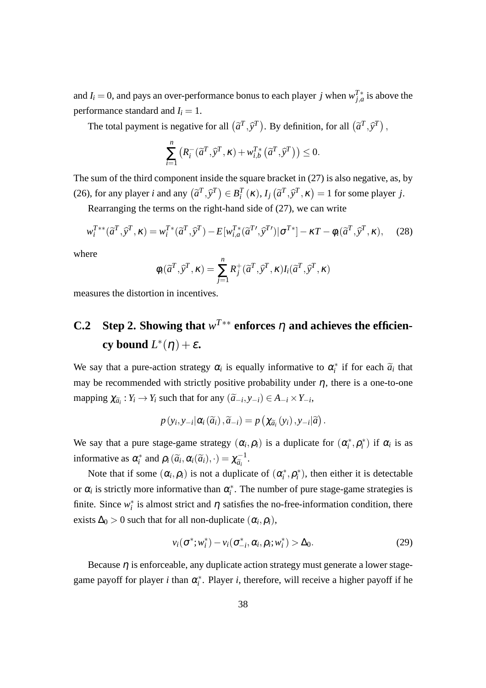and *I*<sub>*i*</sub> = 0, and pays an over-performance bonus to each player *j* when  $w_{j,a}^{T*}$  is above the performance standard and  $I_i = 1$ .

The total payment is negative for all  $(\tilde{a}^T, \tilde{y}^T)$ . By definition, for all  $(\tilde{a}^T, \tilde{y}^T)$ ,

$$
\sum_{i=1}^{n} \left( R_i^-(\widetilde{a}^T, \widehat{y}^T, \kappa) + w_{i,b}^{T*}(\widetilde{a}^T, \widehat{y}^T) \right) \le 0.
$$

The sum of the third component inside the square bracket in (27) is also negative, as, by (26), for any player *i* and any  $(\tilde{a}^T, \tilde{y}^T) \in B_i^T(\kappa), I_j(\tilde{a}^T, \tilde{y}^T, \kappa) = 1$  for some player *j*.

Rearranging the terms on the right-hand side of (27), we can write

$$
w_i^{T**}(\tilde{a}^T, \tilde{y}^T, \kappa) = w_i^{T*}(\tilde{a}^T, \tilde{y}^T) - E[w_{i,a}^{T*}(\tilde{a}^T', \tilde{y}^T')] \sigma^{T*}] - \kappa T - \phi_i(\tilde{a}^T, \tilde{y}^T, \kappa), \quad (28)
$$

where

$$
\phi_i(\widetilde{a}^T, \widehat{y}^T, \kappa) = \sum_{j=1}^n R_j^+(\widetilde{a}^T, \widehat{y}^T, \kappa) I_i(\widetilde{a}^T, \widehat{y}^T, \kappa)
$$

measures the distortion in incentives.

# **C.2** Step 2. Showing that  $w^{T**}$  enforces  $\eta$  and achieves the efficien**cy** bound  $L^*(\eta) + \varepsilon$ .

We say that a pure-action strategy  $\alpha_i$  is equally informative to  $\alpha_i^*$  if for each  $\tilde{a}_i$  that may be recommended with strictly positive probability under  $\eta$ , there is a one-to-one mapping  $\chi_{\tilde{a}_i}: Y_i \to Y_i$  such that for any  $(\tilde{a}_{-i}, y_{-i}) \in A_{-i} \times Y_{-i}$ ,

$$
p(y_i,y_{-i}|\alpha_i(\widetilde{a}_i),\widetilde{a}_{-i})=p(\chi_{\widetilde{a}_i}(y_i),y_{-i}|\widetilde{a})
$$

We say that a pure stage-game strategy  $(\alpha_i, \rho_i)$  is a duplicate for  $(\alpha_i^*, \rho_i^*)$  if  $\alpha_i$  is as informative as  $\alpha_i^*$  and  $\rho_i(\tilde{a}_i, \alpha_i(\tilde{a}_i), \cdot) = \chi_{\tilde{a}_i}^{-1}$  $\frac{\tilde{a}_i}{\tilde{a}_i}$ .

Note that if some  $(\alpha_i, \rho_i)$  is not a duplicate of  $(\alpha_i^*, \rho_i^*)$ , then either it is detectable or  $\alpha_i$  is strictly more informative than  $\alpha_i^*$ . The number of pure stage-game strategies is finite. Since  $w_i^*$  is almost strict and  $\eta$  satisfies the no-free-information condition, there exists  $\Delta_0 > 0$  such that for all non-duplicate  $(\alpha_i, \rho_i),$ 

$$
v_i(\sigma^*; w_i^*) - v_i(\sigma_{-i}^*, \alpha_i, \rho_i; w_i^*) > \Delta_0.
$$
\n
$$
(29)
$$

Because  $\eta$  is enforceable, any duplicate action strategy must generate a lower stagegame payoff for player *i* than  $\alpha_i^*$ . Player *i*, therefore, will receive a higher payoff if he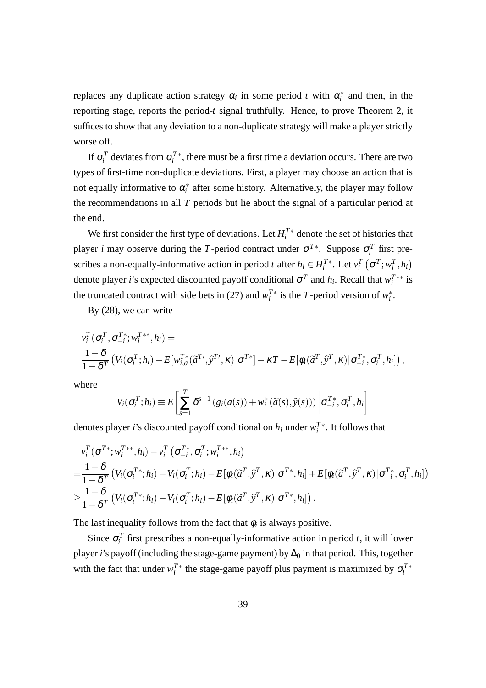replaces any duplicate action strategy  $\alpha_i$  in some period *t* with  $\alpha_i^*$  and then, in the reporting stage, reports the period-*t* signal truthfully. Hence, to prove Theorem 2, it suffices to show that any deviation to a non-duplicate strategy will make a player strictly worse off.

If  $\sigma_i^T$  deviates from  $\sigma_i^{T*}$ , there must be a first time a deviation occurs. There are two types of first-time non-duplicate deviations. First, a player may choose an action that is not equally informative to  $\alpha_i^*$  after some history. Alternatively, the player may follow the recommendations in all *T* periods but lie about the signal of a particular period at the end.

We first consider the first type of deviations. Let  $H_i^{T*}$  denote the set of histories that player *i* may observe during the *T*-period contract under  $\sigma^{T*}$ . Suppose  $\sigma_i^T$  first prescribes a non-equally-informative action in period *t* after  $h_i \in H_i^{T*}$ . Let  $v_i^T$   $(\sigma^T; w_i^T, h_i)$ denote player *i*'s expected discounted payoff conditional  $\sigma^T$  and  $h_i$ . Recall that  $w_i^{T**}$  is the truncated contract with side bets in (27) and  $w_i^T$ <sup>\*</sup> is the *T*-period version of  $w_i^*$ .

By (28), we can write

$$
v_i^T(\sigma_i^T, \sigma_{-i}^T; w_i^{T**}, h_i) =
$$
  

$$
\frac{1-\delta}{1-\delta^T} (V_i(\sigma_i^T; h_i) - E[w_{i,a}^{T*}(\widetilde{\alpha}^{T'}, \widehat{y}^{T'}, \kappa)|\sigma^{T*}] - \kappa T - E[\phi_i(\widetilde{\alpha}^{T}, \widehat{y}^{T}, \kappa)|\sigma_{-i}^{T*}, \sigma_i^{T}, h_i]),
$$

where

$$
V_i(\sigma_i^T; h_i) \equiv E\left[\sum_{s=1}^T \delta^{s-1} \left(g_i(a(s)) + w_i^* \left(\widetilde{a}(s), \widehat{y}(s)\right)\right) \middle| \sigma_{-i}^{T*}, \sigma_i^T, h_i\right]
$$

denotes player *i*'s discounted payoff conditional on  $h_i$  under  $w_i^T$ <sup>\*</sup>. It follows that

$$
v_i^T(\sigma^{T*}; w_i^{T**}, h_i) - v_i^T(\sigma_{-i}^{T*}, \sigma_i^{T}; w_i^{T**}, h_i)
$$
  
=  $\frac{1-\delta}{1-\delta^T} (V_i(\sigma_i^{T*}; h_i) - V_i(\sigma_i^{T}; h_i) - E[\phi_i(\widetilde{\alpha}^T, \widehat{y}^T, \kappa)|\sigma^{T*}, h_i] + E[\phi_i(\widetilde{\alpha}^T, \widehat{y}^T, \kappa)|\sigma_{-i}^{T*}, \sigma_i^{T}, h_i])$   
 $\geq \frac{1-\delta}{1-\delta^T} (V_i(\sigma_i^{T*}; h_i) - V_i(\sigma_i^{T}; h_i) - E[\phi_i(\widetilde{\alpha}^T, \widehat{y}^T, \kappa)|\sigma^{T*}, h_i]).$ 

The last inequality follows from the fact that  $\phi_i$  is always positive.

Since  $\sigma_i^T$  first prescribes a non-equally-informative action in period *t*, it will lower player *i*'s payoff (including the stage-game payment) by  $\Delta_0$  in that period. This, together with the fact that under  $w_i^T$ <sup>\*</sup> the stage-game payoff plus payment is maximized by  $\sigma_i^T$ <sup>\*</sup>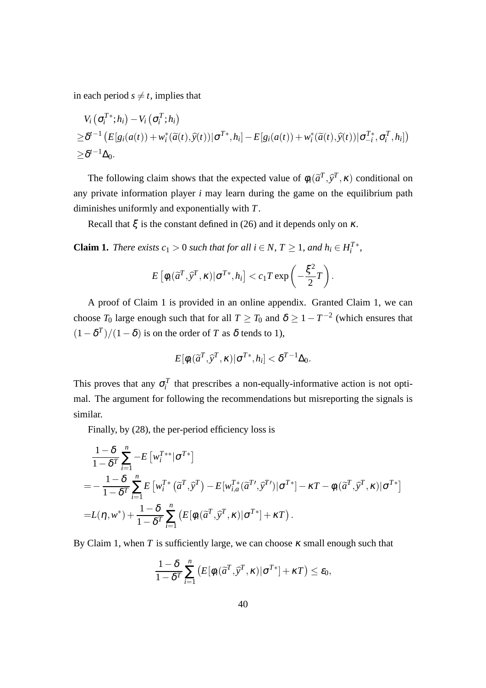in each period  $s \neq t$ , implies that

$$
V_i(\sigma_i^{T*};h_i) - V_i(\sigma_i^{T};h_i)
$$
  
\n
$$
\geq \delta^{t-1} (E[g_i(a(t)) + w_i^*(\widetilde{a}(t),\widehat{y}(t)) | \sigma^{T*},h_i] - E[g_i(a(t)) + w_i^*(\widetilde{a}(t),\widehat{y}(t)) | \sigma_{-i}^{T*},\sigma_i^{T},h_i])
$$
  
\n
$$
\geq \delta^{t-1} \Delta_0.
$$

The following claim shows that the expected value of  $\phi_i(\tilde{a}^T, \tilde{y}^T, \kappa)$  conditional on any private information player *i* may learn during the game on the equilibrium path diminishes uniformly and exponentially with *T*.

Recall that  $\xi$  is the constant defined in (26) and it depends only on  $\kappa$ .

**Claim 1.** *There exists*  $c_1 > 0$  *such that for all*  $i \in N$ ,  $T \ge 1$ *, and*  $h_i \in H_i^{T*}$ *,* 

$$
E\left[\phi_i(\widetilde{a}^T,\widehat{y}^T,\kappa)|\sigma^{T*},h_i\right] < c_1T\exp\left(-\frac{\xi^2}{2}T\right).
$$

A proof of Claim 1 is provided in an online appendix. Granted Claim 1, we can choose  $T_0$  large enough such that for all  $T \geq T_0$  and  $\delta \geq 1 - T^{-2}$  (which ensures that  $(1 - \delta^T)/(1 - \delta)$  is on the order of *T* as  $\delta$  tends to 1),

$$
E[\phi_i(\widetilde{a}^T,\widetilde{y}^T,\kappa)|\sigma^{T*},h_i] < \delta^{T-1}\Delta_0.
$$

This proves that any  $\sigma_i^T$  that prescribes a non-equally-informative action is not optimal. The argument for following the recommendations but misreporting the signals is similar.

Finally, by (28), the per-period efficiency loss is

$$
\frac{1-\delta}{1-\delta^{T}}\sum_{i=1}^{n} -E\left[w_{i}^{T**}|\sigma^{T*}\right]
$$
\n
$$
=-\frac{1-\delta}{1-\delta^{T}}\sum_{i=1}^{n}E\left[w_{i}^{T*}\left(\tilde{\sigma}^{T},\tilde{y}^{T}\right)-E[w_{i,a}^{T*}\left(\tilde{\sigma}^{T'},\tilde{y}^{T'}\right)|\sigma^{T*}]-\kappa T-\phi_{i}(\tilde{\sigma}^{T},\tilde{y}^{T},\kappa)|\sigma^{T*}\right]
$$
\n
$$
=L(\eta,w^{*})+\frac{1-\delta}{1-\delta^{T}}\sum_{i=1}^{n}\left(E\left[\phi_{i}(\tilde{\sigma}^{T},\tilde{y}^{T},\kappa)|\sigma^{T*}\right]+\kappa T\right).
$$

By Claim 1, when  $T$  is sufficiently large, we can choose  $\kappa$  small enough such that

$$
\frac{1-\delta}{1-\delta^T}\sum_{i=1}^n\left(E[\phi_i(\widetilde{a}^T,\widehat{y}^T,\kappa)|\sigma^{T*}]+\kappa T\right)\leq \varepsilon_0,
$$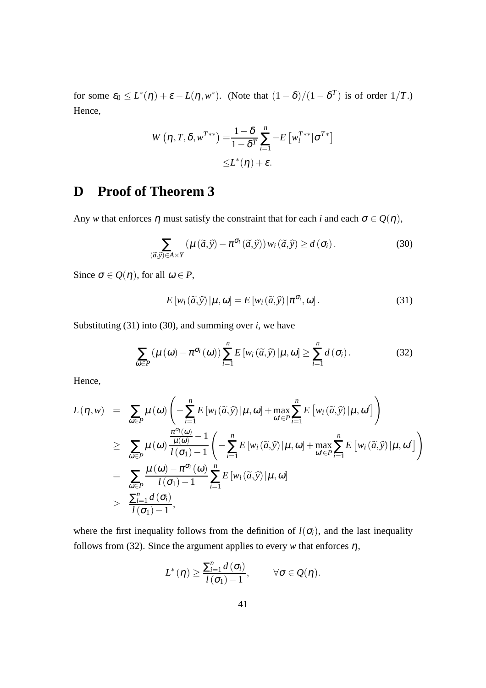for some  $\varepsilon_0 \leq L^*(\eta) + \varepsilon - L(\eta, w^*)$ . (Note that  $(1 - \delta)/(1 - \delta^T)$  is of order  $1/T$ .) Hence,

$$
W(\eta, T, \delta, w^{T**}) = \frac{1 - \delta}{1 - \delta^T} \sum_{i=1}^n -E\left[w_i^{T**} | \sigma^{T*}\right]
$$
  

$$
\leq L^*(\eta) + \varepsilon.
$$

## **D Proof of Theorem 3**

Any *w* that enforces  $\eta$  must satisfy the constraint that for each *i* and each  $\sigma \in Q(\eta)$ ,

$$
\sum_{(\widetilde{a},\widehat{y})\in A\times Y} \left(\mu\left(\widetilde{a},\widehat{y}\right)-\pi^{\sigma_i}\left(\widetilde{a},\widehat{y}\right)\right) w_i\left(\widetilde{a},\widehat{y}\right) \geq d\left(\sigma_i\right). \tag{30}
$$

Since  $\sigma \in Q(\eta)$ , for all  $\omega \in P$ ,

$$
E\left[w_i\left(\widetilde{a},\widehat{y}\right)|\mu,\omega\right] = E\left[w_i\left(\widetilde{a},\widehat{y}\right)|\pi^{\sigma_i},\omega\right].\tag{31}
$$

Substituting  $(31)$  into  $(30)$ , and summing over *i*, we have

$$
\sum_{\omega \in P} \left( \mu\left(\omega\right) - \pi^{\sigma_i}\left(\omega\right) \right) \sum_{i=1}^n E\left[ w_i\left(\widetilde{a}, \widehat{y}\right) | \mu, \omega \right] \ge \sum_{i=1}^n d\left(\sigma_i\right). \tag{32}
$$

Hence,

$$
L(\eta, w) = \sum_{\omega \in P} \mu(\omega) \left( -\sum_{i=1}^{n} E\left[ w_i(\widetilde{\alpha}, \widehat{y}) \middle| \mu, \omega \right] + \max_{\omega' \in P} \sum_{i=1}^{n} E\left[ w_i(\widetilde{\alpha}, \widehat{y}) \middle| \mu, \omega' \right] \right)
$$
  
\n
$$
\geq \sum_{\omega \in P} \mu(\omega) \frac{\frac{\pi^{\sigma_i}(\omega)}{\mu(\omega)} - 1}{l(\sigma_1) - 1} \left( -\sum_{i=1}^{n} E\left[ w_i(\widetilde{\alpha}, \widehat{y}) \middle| \mu, \omega \right] + \max_{\omega' \in P} \sum_{i=1}^{n} E\left[ w_i(\widetilde{\alpha}, \widehat{y}) \middle| \mu, \omega' \right] \right)
$$
  
\n
$$
= \sum_{\omega \in P} \frac{\mu(\omega) - \pi^{\sigma_i}(\omega)}{l(\sigma_1) - 1} \sum_{i=1}^{n} E\left[ w_i(\widetilde{\alpha}, \widehat{y}) \middle| \mu, \omega \right]
$$
  
\n
$$
\geq \frac{\sum_{i=1}^{n} d(\sigma_i)}{l(\sigma_1) - 1},
$$

where the first inequality follows from the definition of  $l(\sigma_i)$ , and the last inequality follows from (32). Since the argument applies to every *w* that enforces  $\eta$ ,

$$
L^*(\eta) \geq \frac{\sum_{i=1}^n d(\sigma_i)}{l(\sigma_1)-1}, \qquad \forall \sigma \in \mathcal{Q}(\eta).
$$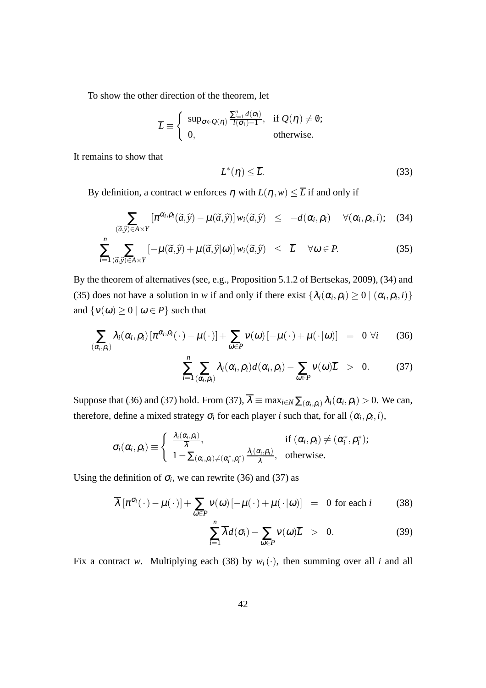To show the other direction of the theorem, let

$$
\overline{L} \equiv \begin{cases} \sup_{\sigma \in Q(\eta)} \frac{\sum_{i=1}^{n} d(\sigma_i)}{l(\sigma_1) - 1}, & \text{if } Q(\eta) \neq \emptyset; \\ 0, & \text{otherwise.} \end{cases}
$$

It remains to show that

$$
L^*(\eta) \le \overline{L}.\tag{33}
$$

By definition, a contract *w* enforces  $\eta$  with  $L(\eta, w) \leq \overline{L}$  if and only if

$$
\sum_{(\widetilde{a},\widehat{y})\in A\times Y} [\pi^{\alpha_i,\rho_i}(\widetilde{a},\widehat{y}) - \mu(\widetilde{a},\widehat{y})] w_i(\widetilde{a},\widehat{y}) \leq -d(\alpha_i,\rho_i) \quad \forall (\alpha_i,\rho_i,i); \quad (34)
$$

$$
\sum_{i=1}^{n} \sum_{(\widetilde{a}, \widetilde{y}) \in A \times Y} \left[ -\mu(\widetilde{a}, \widetilde{y}) + \mu(\widetilde{a}, \widetilde{y}|\omega) \right] w_i(\widetilde{a}, \widetilde{y}) \le \overline{L} \quad \forall \omega \in P. \tag{35}
$$

By the theorem of alternatives (see, e.g., Proposition 5.1.2 of Bertsekas, 2009), (34) and (35) does not have a solution in *w* if and only if there exist  $\{\lambda_i(\alpha_i, \rho_i) \ge 0 \mid (\alpha_i, \rho_i, i)\}\$ and  $\{v(\omega) \ge 0 \mid \omega \in P\}$  such that

$$
\sum_{(\alpha_i,\rho_i)} \lambda_i(\alpha_i,\rho_i) \left[ \pi^{\alpha_i,\rho_i}(\cdot) - \mu(\cdot) \right] + \sum_{\omega \in P} v(\omega) \left[ -\mu(\cdot) + \mu(\cdot|\omega) \right] = 0 \ \forall i \qquad (36)
$$

$$
\sum_{i=1}^{n} \sum_{(\alpha_i,\rho_i)} \lambda_i(\alpha_i,\rho_i) d(\alpha_i,\rho_i) - \sum_{\omega \in P} v(\omega) \overline{L} > 0.
$$
 (37)

Suppose that (36) and (37) hold. From (37),  $\lambda \equiv \max_{i \in N} \sum_{(\alpha_i, \rho_i)} \lambda_i(\alpha_i, \rho_i) > 0$ . We can, therefore, define a mixed strategy  $\sigma_i$  for each player *i* such that, for all  $(\alpha_i, \rho_i, i)$ ,

$$
\sigma_i(\alpha_i,\rho_i) \equiv \begin{cases} \frac{\lambda_i(\alpha_i,\rho_i)}{\overline{\lambda}}, & \text{if } (\alpha_i,\rho_i) \neq (\alpha_i^*,\rho_i^*); \\ 1 - \sum_{(\alpha_i,\rho_i) \neq (\alpha_i^*,\rho_i^*)} \frac{\lambda_i(\alpha_i,\rho_i)}{\overline{\lambda}}, & \text{otherwise.} \end{cases}
$$

Using the definition of  $\sigma_i$ , we can rewrite (36) and (37) as

$$
\overline{\lambda} \left[ \pi^{\sigma_i}(\cdot) - \mu(\cdot) \right] + \sum_{\omega \in P} v(\omega) \left[ -\mu(\cdot) + \mu(\cdot | \omega) \right] = 0 \text{ for each } i \tag{38}
$$

$$
\sum_{i=1}^{n} \overline{\lambda} d(\sigma_i) - \sum_{\omega \in P} v(\omega) \overline{L} > 0.
$$
 (39)

Fix a contract *w*. Multiplying each (38) by  $w_i(\cdot)$ , then summing over all *i* and all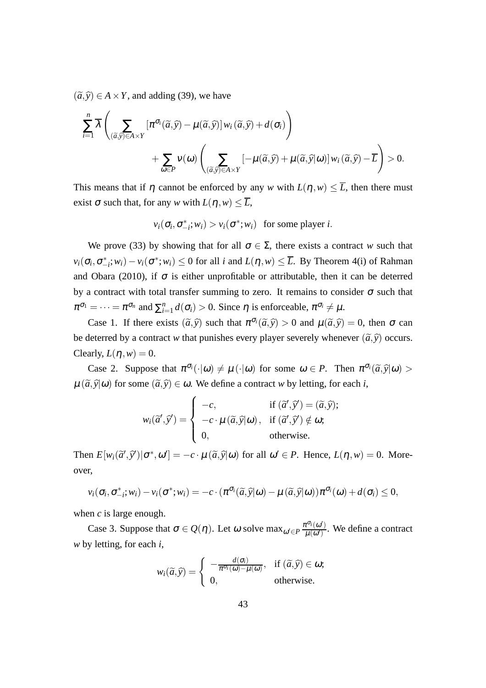$(\tilde{a}, \tilde{y}) \in A \times Y$ , and adding (39), we have

$$
\sum_{i=1}^{n} \overline{\lambda} \left( \sum_{(\widetilde{a}, \widehat{y}) \in A \times Y} [\pi^{\sigma_i}(\widetilde{a}, \widehat{y}) - \mu(\widetilde{a}, \widehat{y})] w_i(\widetilde{a}, \widehat{y}) + d(\sigma_i) \right) + \sum_{\omega \in P} v(\omega) \left( \sum_{(\widetilde{a}, \widehat{y}) \in A \times Y} [-\mu(\widetilde{a}, \widehat{y}) + \mu(\widetilde{a}, \widehat{y}]\omega] w_i(\widetilde{a}, \widehat{y}) - \overline{L} \right) > 0.
$$

This means that if  $\eta$  cannot be enforced by any *w* with  $L(\eta, w) \leq \overline{L}$ , then there must exist  $\sigma$  such that, for any *w* with  $L(\eta, w) \leq \overline{L}$ ,

$$
v_i(\sigma_i, \sigma_{-i}^*; w_i) > v_i(\sigma^*; w_i) \text{ for some player } i.
$$

We prove (33) by showing that for all  $\sigma \in \Sigma$ , there exists a contract *w* such that  $v_i(\sigma_i, \sigma_{-i}^*; w_i) - v_i(\sigma^*; w_i) \le 0$  for all *i* and  $L(\eta, w) \le \overline{L}$ . By Theorem 4(i) of Rahman and Obara (2010), if  $\sigma$  is either unprofitable or attributable, then it can be deterred by a contract with total transfer summing to zero. It remains to consider  $\sigma$  such that  $\pi^{\sigma_1} = \cdots = \pi^{\sigma_n}$  and  $\sum_{i=1}^n$  $\sum_{i=1}^{n} d(\sigma_i) > 0$ . Since  $\eta$  is enforceable,  $\pi^{\sigma_i} \neq \mu$ .

Case 1. If there exists  $(\tilde{a}, \tilde{y})$  such that  $\pi^{\sigma_i}(\tilde{a}, \tilde{y}) > 0$  and  $\mu(\tilde{a}, \tilde{y}) = 0$ , then  $\sigma$  can be deterred by a contract *w* that punishes every player severely whenever  $(\tilde{a}, \tilde{y})$  occurs. Clearly,  $L(\eta, w) = 0$ .

Case 2. Suppose that  $\pi^{\sigma_i}(\cdot | \omega) \neq \mu(\cdot | \omega)$  for some  $\omega \in P$ . Then  $\pi^{\sigma_i}(\tilde{a}, \tilde{y} | \omega)$  $\mu(\tilde{a}, \tilde{y}|\omega)$  for some  $(\tilde{a}, \tilde{y}) \in \omega$ . We define a contract *w* by letting, for each *i*,

$$
w_i(\vec{a}', \vec{y}') = \begin{cases} -c, & \text{if } (\vec{a}', \vec{y}') = (\vec{a}, \vec{y}); \\ -c \cdot \mu(\vec{a}, \vec{y} | \omega), & \text{if } (\vec{a}', \vec{y}') \notin \omega; \\ 0, & \text{otherwise.} \end{cases}
$$

Then  $E[w_i(\tilde{a}', \tilde{y}') | \sigma^*, \omega'] = -c \cdot \mu(\tilde{a}, \tilde{y} | \omega)$  for all  $\omega' \in P$ . Hence,  $L(\eta, w) = 0$ . Moreover,

$$
v_i(\sigma_i, \sigma_{-i}^*; w_i) - v_i(\sigma^*; w_i) = -c \cdot (\pi^{\sigma_i}(\widetilde{a}, \widehat{y}|\omega) - \mu(\widetilde{a}, \widehat{y}|\omega))\pi^{\sigma_i}(\omega) + d(\sigma_i) \leq 0,
$$

when *c* is large enough.

Case 3. Suppose that  $\sigma \in Q(\eta)$ . Let  $\omega$  solve  $\max_{\omega' \in P} \frac{\pi^{\sigma_i}(\omega')}{\mu(\omega')}$  $\frac{\mu^{(1)}(w)}{\mu(\omega')}$ . We define a contract *w* by letting, for each *i*,

$$
w_i(\widetilde{a}, \widehat{y}) = \begin{cases} -\frac{d(\sigma_i)}{\pi^{\sigma_i}(\omega) - \mu(\omega)}, & \text{if } (\widetilde{a}, \widehat{y}) \in \omega; \\ 0, & \text{otherwise.} \end{cases}
$$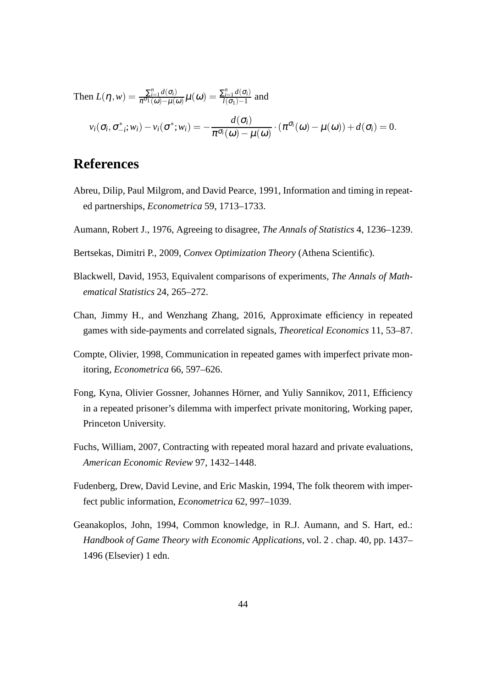Then 
$$
L(\eta, w) = \frac{\sum_{i=1}^{n} d(\sigma_i)}{\pi^{\sigma_1}(\omega) - \mu(\omega)} \mu(\omega) = \frac{\sum_{i=1}^{n} d(\sigma_i)}{l(\sigma_1) - 1}
$$
 and  

$$
v_i(\sigma_i, \sigma_{-i}^*; w_i) - v_i(\sigma^*; w_i) = -\frac{d(\sigma_i)}{\pi^{\sigma_i}(\omega) - \mu(\omega)} \cdot (\pi^{\sigma_i}(\omega) - \mu(\omega)) + d(\sigma_i) = 0.
$$

## **References**

- Abreu, Dilip, Paul Milgrom, and David Pearce, 1991, Information and timing in repeated partnerships, *Econometrica* 59, 1713–1733.
- Aumann, Robert J., 1976, Agreeing to disagree, *The Annals of Statistics* 4, 1236–1239.
- Bertsekas, Dimitri P., 2009, *Convex Optimization Theory* (Athena Scientific).
- Blackwell, David, 1953, Equivalent comparisons of experiments, *The Annals of Mathematical Statistics* 24, 265–272.
- Chan, Jimmy H., and Wenzhang Zhang, 2016, Approximate efficiency in repeated games with side-payments and correlated signals, *Theoretical Economics* 11, 53–87.
- Compte, Olivier, 1998, Communication in repeated games with imperfect private monitoring, *Econometrica* 66, 597–626.
- Fong, Kyna, Olivier Gossner, Johannes Hörner, and Yuliy Sannikov, 2011, Efficiency in a repeated prisoner's dilemma with imperfect private monitoring, Working paper, Princeton University.
- Fuchs, William, 2007, Contracting with repeated moral hazard and private evaluations, *American Economic Review* 97, 1432–1448.
- Fudenberg, Drew, David Levine, and Eric Maskin, 1994, The folk theorem with imperfect public information, *Econometrica* 62, 997–1039.
- Geanakoplos, John, 1994, Common knowledge, in R.J. Aumann, and S. Hart, ed.: *Handbook of Game Theory with Economic Applications*, vol. 2 . chap. 40, pp. 1437– 1496 (Elsevier) 1 edn.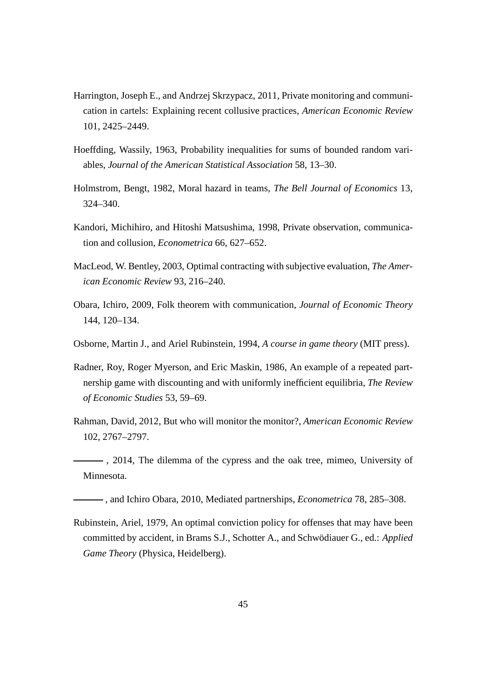- Harrington, Joseph E., and Andrzej Skrzypacz, 2011, Private monitoring and communication in cartels: Explaining recent collusive practices, *American Economic Review* 101, 2425–2449.
- Hoeffding, Wassily, 1963, Probability inequalities for sums of bounded random variables, *Journal of the American Statistical Association* 58, 13–30.
- Holmstrom, Bengt, 1982, Moral hazard in teams, *The Bell Journal of Economics* 13, 324–340.
- Kandori, Michihiro, and Hitoshi Matsushima, 1998, Private observation, communication and collusion, *Econometrica* 66, 627–652.
- MacLeod, W. Bentley, 2003, Optimal contracting with subjective evaluation, *The American Economic Review* 93, 216–240.
- Obara, Ichiro, 2009, Folk theorem with communication, *Journal of Economic Theory* 144, 120–134.
- Osborne, Martin J., and Ariel Rubinstein, 1994, *A course in game theory* (MIT press).
- Radner, Roy, Roger Myerson, and Eric Maskin, 1986, An example of a repeated partnership game with discounting and with uniformly inefficient equilibria, *The Review of Economic Studies* 53, 59–69.
- Rahman, David, 2012, But who will monitor the monitor?, *American Economic Review* 102, 2767–2797.
- (2014, The dilemma of the cypress and the oak tree, mimeo, University of Minnesota.
- , and Ichiro Obara, 2010, Mediated partnerships, *Econometrica* 78, 285–308.
- Rubinstein, Ariel, 1979, An optimal conviction policy for offenses that may have been committed by accident, in Brams S.J., Schotter A., and Schwödiauer G., ed.: *Applied Game Theory* (Physica, Heidelberg).